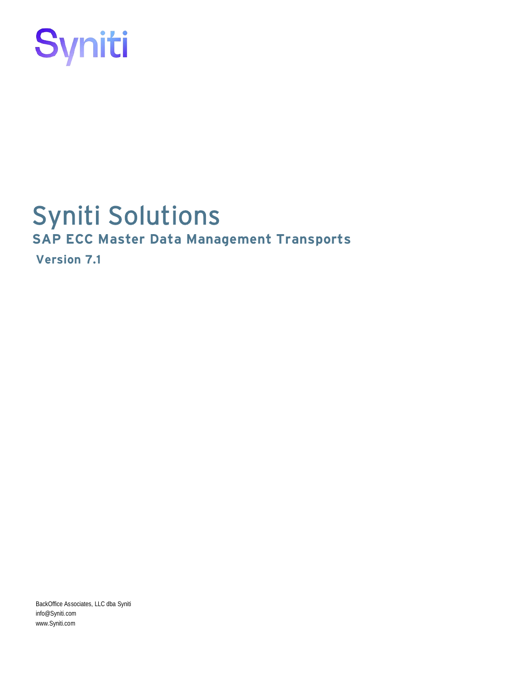

# Syniti Solutions **SAP ECC Master Data Management Transports**

**Version 7.1**

BackOffice Associates, LLC dba Syniti info@Syniti.com www.Syniti.com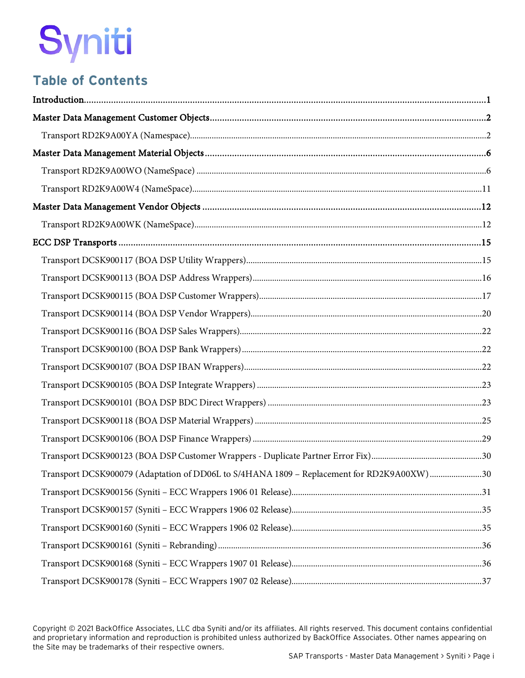# **Table of Contents**

| Transport DCSK900079 (Adaptation of DD06L to S/4HANA 1809 - Replacement for RD2K9A00XW) 30 |  |
|--------------------------------------------------------------------------------------------|--|
|                                                                                            |  |
|                                                                                            |  |
|                                                                                            |  |
|                                                                                            |  |
|                                                                                            |  |
|                                                                                            |  |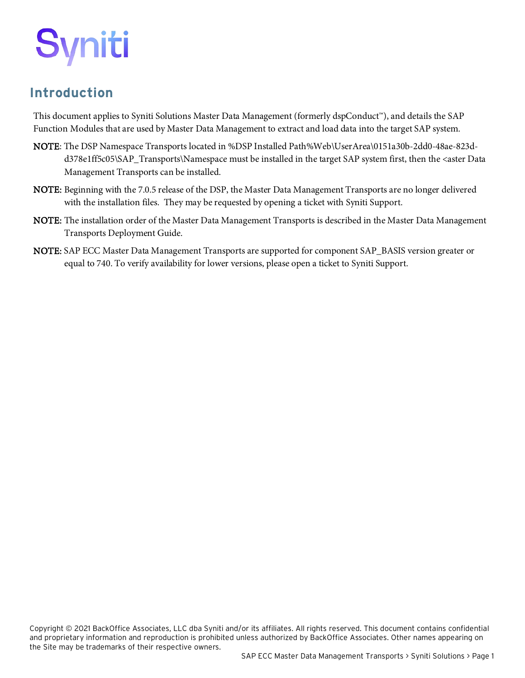# <span id="page-4-0"></span>**Introduction**

This document applies to Syniti Solutions Master Data Management (formerly dspConduct™), and details the SAP Function Modules that are used by Master Data Management to extract and load data into the target SAP system.

- NOTE: The DSP Namespace Transports located in %DSP Installed Path%Web\UserArea\0151a30b-2dd0-48ae-823dd378e1ff5c05\SAP\_Transports\Namespace must be installed in the target SAP system first, then the <aster Data Management Transports can be installed.
- NOTE: Beginning with the 7.0.5 release of the DSP, the Master Data Management Transports are no longer delivered with the installation files. They may be requested by opening a ticket with Syniti Support.
- NOTE: The installation order of the Master Data Management Transports is described in the Master Data Management Transports Deployment Guide.
- NOTE: SAP ECC Master Data Management Transports are supported for component SAP\_BASIS version greater or equal to 740. To verify availability for lower versions, please open a ticket to Syniti Support.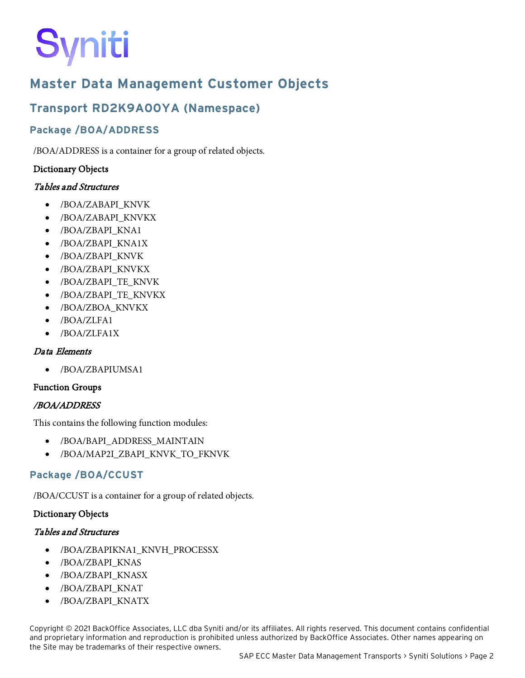# <span id="page-5-0"></span>**Master Data Management Customer Objects**

# <span id="page-5-1"></span>**Transport RD2K9A00YA (Namespace)**

### **Package /BOA/ADDRESS**

/BOA/ADDRESS is a container for a group of related objects.

#### Dictionary Objects

#### Tables and Structures

- /BOA/ZABAPI\_KNVK
- /BOA/ZABAPI\_KNVKX
- /BOA/ZBAPI\_KNA1
- /BOA/ZBAPI\_KNA1X
- /BOA/ZBAPI\_KNVK
- /BOA/ZBAPI\_KNVKX
- /BOA/ZBAPI\_TE\_KNVK
- /BOA/ZBAPI\_TE\_KNVKX
- /BOA/ZBOA\_KNVKX
- /BOA/ZLFA1
- /BOA/ZLFA1X

#### Data Elements

• /BOA/ZBAPIUMSA1

#### Function Groups

#### /BOA/ADDRESS

This contains the following function modules:

- /BOA/BAPI\_ADDRESS\_MAINTAIN
- /BOA/MAP2I\_ZBAPI\_KNVK\_TO\_FKNVK

#### **Package /BOA/CCUST**

/BOA/CCUST is a container for a group of related objects.

#### Dictionary Objects

#### Tables and Structures

- /BOA/ZBAPIKNA1\_KNVH\_PROCESSX
- /BOA/ZBAPI\_KNAS
- /BOA/ZBAPI\_KNASX
- /BOA/ZBAPI\_KNAT
- /BOA/ZBAPI\_KNATX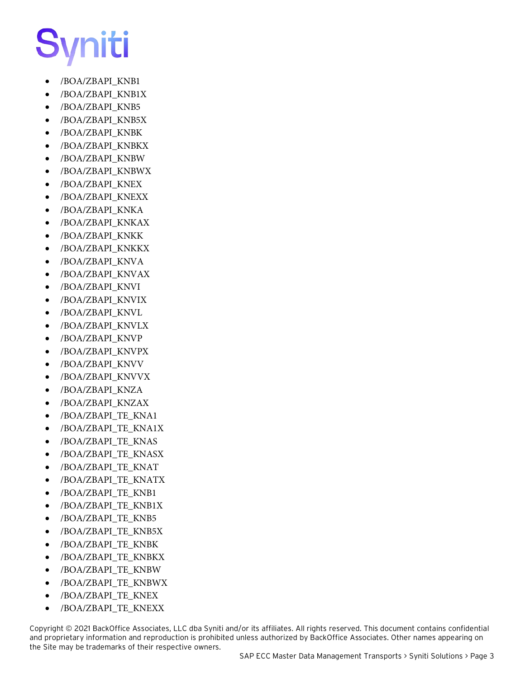- /BOA/ZBAPI\_KNB1
- /BOA/ZBAPI\_KNB1X
- /BOA/ZBAPI\_KNB5
- /BOA/ZBAPI\_KNB5X
- /BOA/ZBAPI\_KNBK
- /BOA/ZBAPI\_KNBKX
- /BOA/ZBAPI\_KNBW
- /BOA/ZBAPI\_KNBWX
- /BOA/ZBAPI\_KNEX
- /BOA/ZBAPI\_KNEXX
- /BOA/ZBAPI\_KNKA
- /BOA/ZBAPI\_KNKAX
- /BOA/ZBAPI\_KNKK
- /BOA/ZBAPI\_KNKKX
- /BOA/ZBAPI\_KNVA
- /BOA/ZBAPI\_KNVAX
- /BOA/ZBAPI\_KNVI
- /BOA/ZBAPI\_KNVIX
- /BOA/ZBAPI\_KNVL
- /BOA/ZBAPI\_KNVLX
- /BOA/ZBAPI\_KNVP
- /BOA/ZBAPI\_KNVPX
- /BOA/ZBAPI\_KNVV
- /BOA/ZBAPI\_KNVVX
- /BOA/ZBAPI\_KNZA
- /BOA/ZBAPI\_KNZAX
- /BOA/ZBAPI\_TE\_KNA1
- /BOA/ZBAPI\_TE\_KNA1X
- /BOA/ZBAPI\_TE\_KNAS
- /BOA/ZBAPI\_TE\_KNASX
- /BOA/ZBAPI\_TE\_KNAT
- /BOA/ZBAPI\_TE\_KNATX
- /BOA/ZBAPI\_TE\_KNB1
- /BOA/ZBAPI\_TE\_KNB1X
- /BOA/ZBAPI\_TE\_KNB5
- /BOA/ZBAPI\_TE\_KNB5X
- /BOA/ZBAPI\_TE\_KNBK
- /BOA/ZBAPI\_TE\_KNBKX
- /BOA/ZBAPI\_TE\_KNBW
- /BOA/ZBAPI\_TE\_KNBWX
- /BOA/ZBAPI\_TE\_KNEX
- /BOA/ZBAPI\_TE\_KNEXX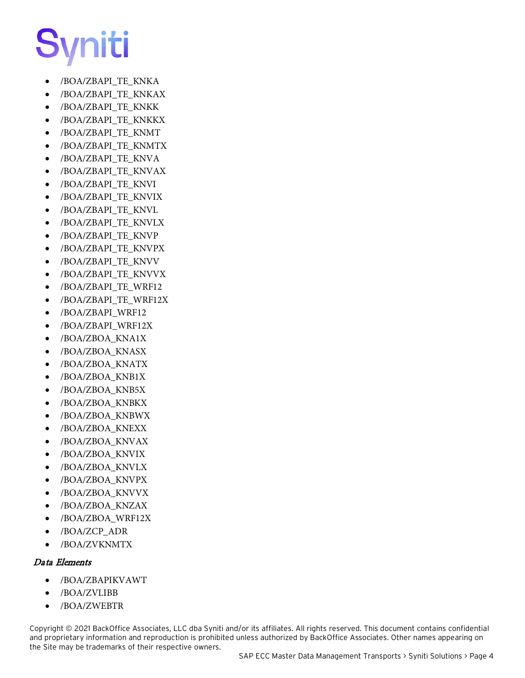- /BOA/ZBAPI\_TE\_KNKA
- /BOA/ZBAPI\_TE\_KNKAX
- /BOA/ZBAPI\_TE\_KNKK
- /BOA/ZBAPI\_TE\_KNKKX
- /BOA/ZBAPI\_TE\_KNMT
- /BOA/ZBAPI\_TE\_KNMTX
- /BOA/ZBAPI\_TE\_KNVA
- /BOA/ZBAPI\_TE\_KNVAX
- /BOA/ZBAPI\_TE\_KNVI
- /BOA/ZBAPI\_TE\_KNVIX
- /BOA/ZBAPI\_TE\_KNVL
- /BOA/ZBAPI\_TE\_KNVLX
- /BOA/ZBAPI\_TE\_KNVP
- /BOA/ZBAPI\_TE\_KNVPX
- /BOA/ZBAPI\_TE\_KNVV
- /BOA/ZBAPI\_TE\_KNVVX
- /BOA/ZBAPI\_TE\_WRF12
- /BOA/ZBAPI\_TE\_WRF12X
- /BOA/ZBAPI\_WRF12
- /BOA/ZBAPI\_WRF12X
- /BOA/ZBOA\_KNA1X
- /BOA/ZBOA\_KNASX
- /BOA/ZBOA\_KNATX
- /BOA/ZBOA\_KNB1X
- /BOA/ZBOA\_KNB5X
- /BOA/ZBOA\_KNBKX
- /BOA/ZBOA\_KNBWX
- /BOA/ZBOA\_KNEXX
- /BOA/ZBOA\_KNVAX
- /BOA/ZBOA\_KNVIX
- /BOA/ZBOA\_KNVLX
- /BOA/ZBOA\_KNVPX
- /BOA/ZBOA\_KNVVX
- /BOA/ZBOA\_KNZAX
- /BOA/ZBOA\_WRF12X
- /BOA/ZCP\_ADR
- /BOA/ZVKNMTX

#### Data Elements

- /BOA/ZBAPIKVAWT
- /BOA/ZVLIBB
- /BOA/ZWEBTR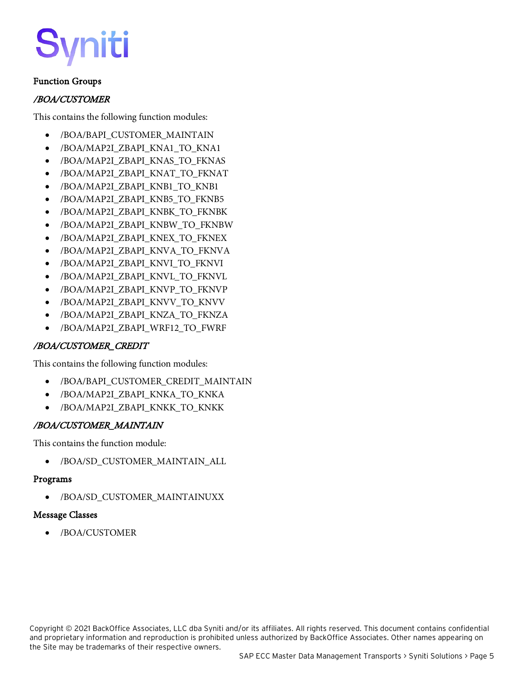# ìiti

#### Function Groups

#### /BOA/CUSTOMER

This contains the following function modules:

- /BOA/BAPI\_CUSTOMER\_MAINTAIN
- /BOA/MAP2I\_ZBAPI\_KNA1\_TO\_KNA1
- /BOA/MAP2I\_ZBAPI\_KNAS\_TO\_FKNAS
- /BOA/MAP2I\_ZBAPI\_KNAT\_TO\_FKNAT
- /BOA/MAP2I\_ZBAPI\_KNB1\_TO\_KNB1
- /BOA/MAP2I\_ZBAPI\_KNB5\_TO\_FKNB5
- /BOA/MAP2I\_ZBAPI\_KNBK\_TO\_FKNBK
- /BOA/MAP2I\_ZBAPI\_KNBW\_TO\_FKNBW
- /BOA/MAP2I\_ZBAPI\_KNEX\_TO\_FKNEX
- /BOA/MAP2I ZBAPI KNVA TO FKNVA
- /BOA/MAP2I\_ZBAPI\_KNVI\_TO\_FKNVI
- /BOA/MAP2I\_ZBAPI\_KNVL\_TO\_FKNVL
- /BOA/MAP2I\_ZBAPI\_KNVP\_TO\_FKNVP
- /BOA/MAP2I\_ZBAPI\_KNVV\_TO\_KNVV
- /BOA/MAP2I\_ZBAPI\_KNZA\_TO\_FKNZA
- /BOA/MAP2I\_ZBAPI\_WRF12\_TO\_FWRF

#### /BOA/CUSTOMER\_CREDIT

This contains the following function modules:

- /BOA/BAPI\_CUSTOMER\_CREDIT\_MAINTAIN
- /BOA/MAP2I\_ZBAPI\_KNKA\_TO\_KNKA
- /BOA/MAP2I\_ZBAPI\_KNKK\_TO\_KNKK

#### /BOA/CUSTOMER\_MAINTAIN

This contains the function module:

• /BOA/SD\_CUSTOMER\_MAINTAIN\_ALL

#### Programs

• /BOA/SD\_CUSTOMER\_MAINTAINUXX

#### Message Classes

• /BOA/CUSTOMER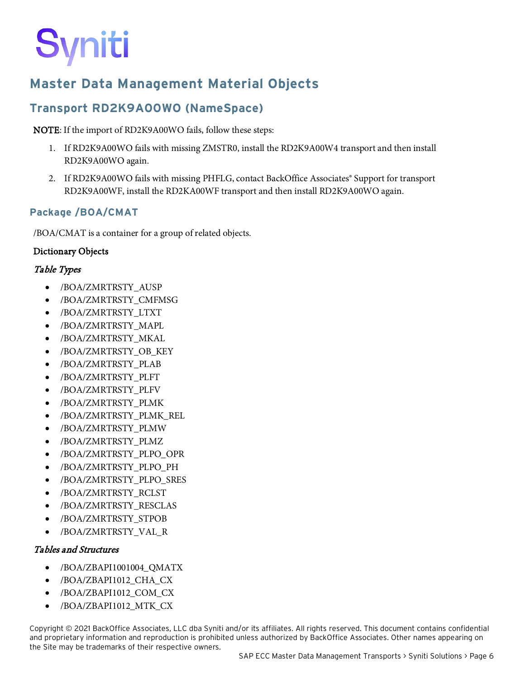# <span id="page-9-0"></span>**Master Data Management Material Objects**

# <span id="page-9-1"></span>**Transport RD2K9A00WO (NameSpace)**

#### NOTE: If the import of RD2K9A00WO fails, follow these steps:

- 1. If RD2K9A00WO fails with missing ZMSTR0, install the RD2K9A00W4 transport and then install RD2K9A00WO again.
- 2. If RD2K9A00WO fails with missing PHFLG, contact BackOffice Associates® Support for transport RD2K9A00WF, install the RD2KA00WF transport and then install RD2K9A00WO again.

#### **Package /BOA/CMAT**

/BOA/CMAT is a container for a group of related objects.

#### Dictionary Objects

#### Table Types

- /BOA/ZMRTRSTY\_AUSP
- /BOA/ZMRTRSTY\_CMFMSG
- /BOA/ZMRTRSTY\_LTXT
- /BOA/ZMRTRSTY\_MAPL
- /BOA/ZMRTRSTY\_MKAL
- /BOA/ZMRTRSTY\_OB\_KEY
- /BOA/ZMRTRSTY\_PLAB
- /BOA/ZMRTRSTY\_PLFT
- /BOA/ZMRTRSTY\_PLFV
- /BOA/ZMRTRSTY\_PLMK
- /BOA/ZMRTRSTY\_PLMK\_REL
- /BOA/ZMRTRSTY\_PLMW
- /BOA/ZMRTRSTY\_PLMZ
- /BOA/ZMRTRSTY\_PLPO\_OPR
- /BOA/ZMRTRSTY\_PLPO\_PH
- /BOA/ZMRTRSTY\_PLPO\_SRES
- /BOA/ZMRTRSTY\_RCLST
- /BOA/ZMRTRSTY\_RESCLAS
- /BOA/ZMRTRSTY\_STPOB
- /BOA/ZMRTRSTY\_VAL\_R

#### Tables and Structures

- /BOA/ZBAPI1001004\_QMATX
- /BOA/ZBAPI1012\_CHA\_CX
- /BOA/ZBAPI1012\_COM\_CX
- /BOA/ZBAPI1012\_MTK\_CX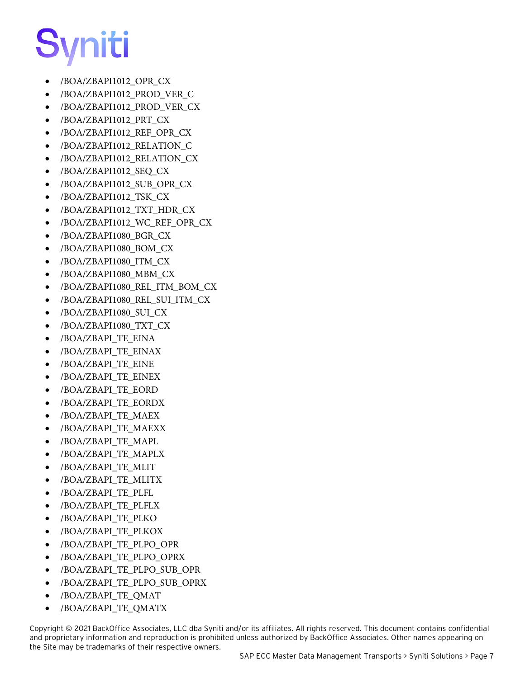- /BOA/ZBAPI1012\_OPR\_CX
- /BOA/ZBAPI1012\_PROD\_VER\_C
- /BOA/ZBAPI1012\_PROD\_VER\_CX
- /BOA/ZBAPI1012\_PRT\_CX
- /BOA/ZBAPI1012\_REF\_OPR\_CX
- /BOA/ZBAPI1012\_RELATION\_C
- /BOA/ZBAPI1012\_RELATION\_CX
- /BOA/ZBAPI1012\_SEQ\_CX
- /BOA/ZBAPI1012\_SUB\_OPR\_CX
- /BOA/ZBAPI1012\_TSK\_CX
- /BOA/ZBAPI1012\_TXT\_HDR\_CX
- /BOA/ZBAPI1012 WC REF OPR CX
- /BOA/ZBAPI1080\_BGR\_CX
- /BOA/ZBAPI1080\_BOM\_CX
- /BOA/ZBAPI1080\_ITM\_CX
- /BOA/ZBAPI1080\_MBM\_CX
- /BOA/ZBAPI1080\_REL\_ITM\_BOM\_CX
- /BOA/ZBAPI1080\_REL\_SUI\_ITM\_CX
- /BOA/ZBAPI1080\_SUI\_CX
- /BOA/ZBAPI1080\_TXT\_CX
- /BOA/ZBAPI\_TE\_EINA
- /BOA/ZBAPI\_TE\_EINAX
- /BOA/ZBAPI\_TE\_EINE
- /BOA/ZBAPI\_TE\_EINEX
- /BOA/ZBAPI\_TE\_EORD
- /BOA/ZBAPI\_TE\_EORDX
- /BOA/ZBAPI\_TE\_MAEX
- /BOA/ZBAPI\_TE\_MAEXX
- /BOA/ZBAPI\_TE\_MAPL
- /BOA/ZBAPI\_TE\_MAPLX
- /BOA/ZBAPI\_TE\_MLIT
- /BOA/ZBAPI\_TE\_MLITX
- /BOA/ZBAPI\_TE\_PLFL
- /BOA/ZBAPI\_TE\_PLFLX
- /BOA/ZBAPI\_TE\_PLKO
- /BOA/ZBAPI\_TE\_PLKOX
- /BOA/ZBAPI\_TE\_PLPO\_OPR
- /BOA/ZBAPI\_TE\_PLPO\_OPRX
- /BOA/ZBAPI\_TE\_PLPO\_SUB\_OPR
- /BOA/ZBAPI\_TE\_PLPO\_SUB\_OPRX
- /BOA/ZBAPI\_TE\_QMAT
- /BOA/ZBAPI\_TE\_QMATX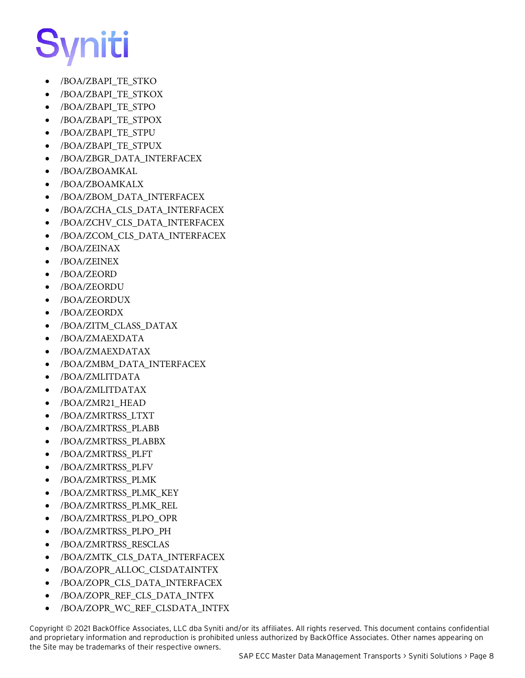- /BOA/ZBAPI\_TE\_STKO
- /BOA/ZBAPI\_TE\_STKOX
- /BOA/ZBAPI\_TE\_STPO
- /BOA/ZBAPI\_TE\_STPOX
- /BOA/ZBAPI\_TE\_STPU
- /BOA/ZBAPI\_TE\_STPUX
- /BOA/ZBGR\_DATA\_INTERFACEX
- /BOA/ZBOAMKAL
- /BOA/ZBOAMKALX
- /BOA/ZBOM\_DATA\_INTERFACEX
- /BOA/ZCHA\_CLS\_DATA\_INTERFACEX
- /BOA/ZCHV\_CLS\_DATA\_INTERFACEX
- /BOA/ZCOM\_CLS\_DATA\_INTERFACEX
- /BOA/ZEINAX
- /BOA/ZEINEX
- /BOA/ZEORD
- /BOA/ZEORDU
- /BOA/ZEORDUX
- /BOA/ZEORDX
- /BOA/ZITM\_CLASS\_DATAX
- /BOA/ZMAEXDATA
- /BOA/ZMAEXDATAX
- /BOA/ZMBM\_DATA\_INTERFACEX
- /BOA/ZMLITDATA
- /BOA/ZMLITDATAX
- /BOA/ZMR21\_HEAD
- /BOA/ZMRTRSS\_LTXT
- /BOA/ZMRTRSS\_PLABB
- /BOA/ZMRTRSS\_PLABBX
- /BOA/ZMRTRSS\_PLFT
- /BOA/ZMRTRSS\_PLFV
- /BOA/ZMRTRSS\_PLMK
- /BOA/ZMRTRSS\_PLMK\_KEY
- /BOA/ZMRTRSS\_PLMK\_REL
- /BOA/ZMRTRSS\_PLPO\_OPR
- /BOA/ZMRTRSS\_PLPO\_PH
- /BOA/ZMRTRSS\_RESCLAS
- /BOA/ZMTK\_CLS\_DATA\_INTERFACEX
- /BOA/ZOPR\_ALLOC\_CLSDATAINTFX
- /BOA/ZOPR\_CLS\_DATA\_INTERFACEX
- /BOA/ZOPR\_REF\_CLS\_DATA\_INTFX
- /BOA/ZOPR\_WC\_REF\_CLSDATA\_INTFX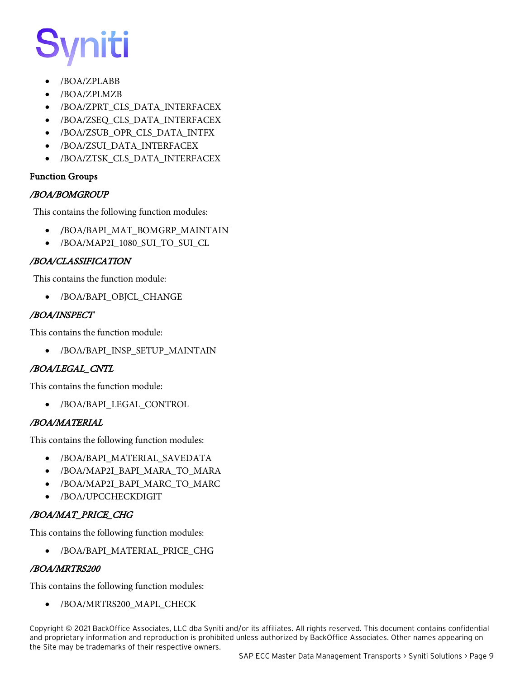# vniti

- /BOA/ZPLABB
- /BOA/ZPLMZB
- /BOA/ZPRT\_CLS\_DATA\_INTERFACEX
- /BOA/ZSEQ\_CLS\_DATA\_INTERFACEX
- /BOA/ZSUB\_OPR\_CLS\_DATA\_INTFX
- /BOA/ZSUI\_DATA\_INTERFACEX
- /BOA/ZTSK\_CLS\_DATA\_INTERFACEX

#### Function Groups

#### /BOA/BOMGROUP

This contains the following function modules:

- /BOA/BAPI\_MAT\_BOMGRP\_MAINTAIN
- /BOA/MAP2I\_1080\_SUI\_TO\_SUI\_CL

#### /BOA/CLASSIFICATION

This contains the function module:

• /BOA/BAPI\_OBJCL\_CHANGE

#### /BOA/INSPECT

This contains the function module:

• /BOA/BAPI\_INSP\_SETUP\_MAINTAIN

#### /BOA/LEGAL\_CNTL

This contains the function module:

• /BOA/BAPI\_LEGAL\_CONTROL

#### /BOA/MATERIAL

This contains the following function modules:

- /BOA/BAPI\_MATERIAL\_SAVEDATA
- /BOA/MAP2I\_BAPI\_MARA\_TO\_MARA
- /BOA/MAP2I\_BAPI\_MARC\_TO\_MARC
- /BOA/UPCCHECKDIGIT

#### /BOA/MAT\_PRICE\_CHG

This contains the following function modules:

• /BOA/BAPI\_MATERIAL\_PRICE\_CHG

#### /BOA/MRTRS200

This contains the following function modules:

• /BOA/MRTRS200\_MAPL\_CHECK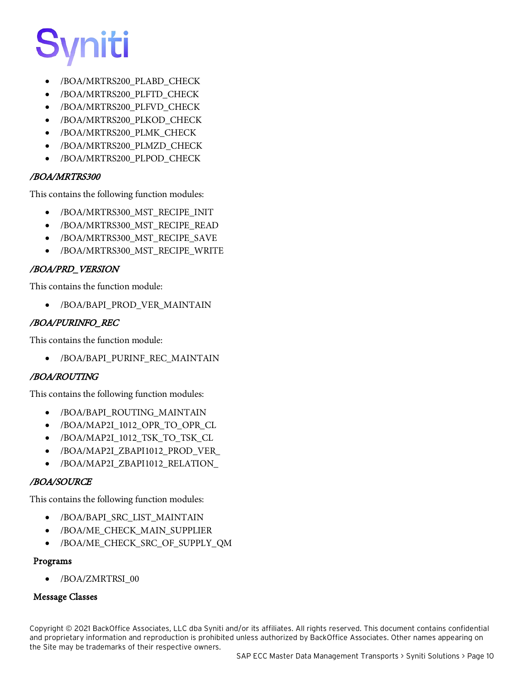

- /BOA/MRTRS200\_PLABD\_CHECK
- /BOA/MRTRS200\_PLFTD\_CHECK
- /BOA/MRTRS200\_PLFVD\_CHECK
- /BOA/MRTRS200\_PLKOD\_CHECK
- /BOA/MRTRS200\_PLMK\_CHECK
- /BOA/MRTRS200\_PLMZD\_CHECK
- /BOA/MRTRS200\_PLPOD\_CHECK

#### /BOA/MRTRS300

This contains the following function modules:

- /BOA/MRTRS300\_MST\_RECIPE\_INIT
- /BOA/MRTRS300\_MST\_RECIPE\_READ
- /BOA/MRTRS300\_MST\_RECIPE\_SAVE
- /BOA/MRTRS300\_MST\_RECIPE\_WRITE

#### /BOA/PRD\_VERSION

This contains the function module:

• /BOA/BAPI\_PROD\_VER\_MAINTAIN

#### /BOA/PURINFO\_REC

This contains the function module:

• /BOA/BAPI\_PURINF\_REC\_MAINTAIN

#### /BOA/ROUTING

This contains the following function modules:

- /BOA/BAPI\_ROUTING\_MAINTAIN
- /BOA/MAP2I\_1012\_OPR\_TO\_OPR\_CL
- /BOA/MAP2I\_1012\_TSK\_TO\_TSK\_CL
- /BOA/MAP2I\_ZBAPI1012\_PROD\_VER\_
- /BOA/MAP2I\_ZBAPI1012\_RELATION\_

#### /BOA/SOURCE

This contains the following function modules:

- /BOA/BAPI\_SRC\_LIST\_MAINTAIN
- /BOA/ME\_CHECK\_MAIN\_SUPPLIER
- /BOA/ME\_CHECK\_SRC\_OF\_SUPPLY\_QM

#### Programs

• /BOA/ZMRTRSI\_00

#### Message Classes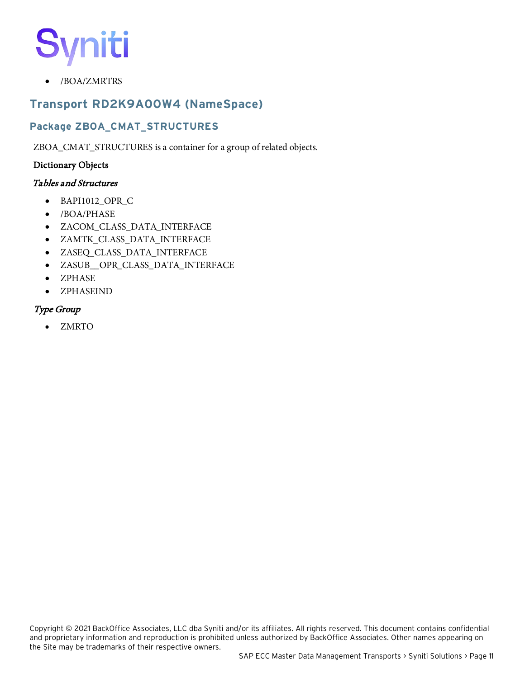• /BOA/ZMRTRS

## <span id="page-14-0"></span>**Transport RD2K9A00W4 (NameSpace)**

### **Package ZBOA\_CMAT\_STRUCTURES**

ZBOA\_CMAT\_STRUCTURES is a container for a group of related objects.

#### Dictionary Objects

#### Tables and Structures

- BAPI1012\_OPR\_C
- /BOA/PHASE
- ZACOM\_CLASS\_DATA\_INTERFACE
- ZAMTK\_CLASS\_DATA\_INTERFACE
- ZASEQ\_CLASS\_DATA\_INTERFACE
- ZASUB\_\_OPR\_CLASS\_DATA\_INTERFACE
- ZPHASE
- ZPHASEIND

#### Type Group

• ZMRTO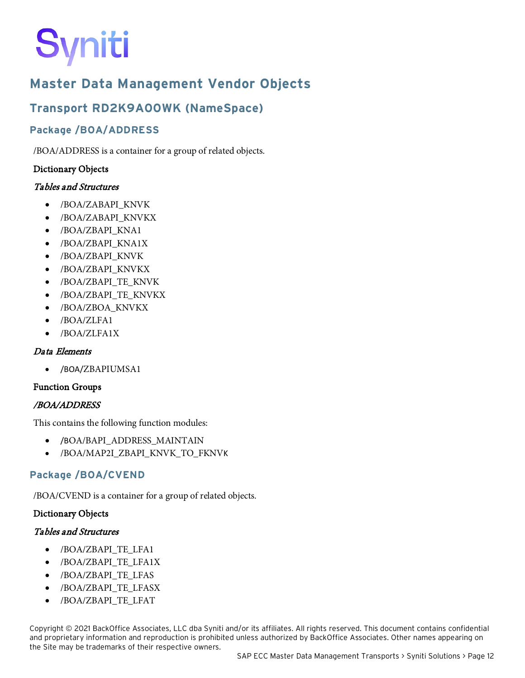# <span id="page-15-0"></span>**Master Data Management Vendor Objects**

# <span id="page-15-1"></span>**Transport RD2K9A00WK (NameSpace)**

### **Package /BOA/ADDRESS**

/BOA/ADDRESS is a container for a group of related objects.

#### Dictionary Objects

#### Tables and Structures

- /BOA/ZABAPI\_KNVK
- /BOA/ZABAPI\_KNVKX
- /BOA/ZBAPI\_KNA1
- /BOA/ZBAPI\_KNA1X
- /BOA/ZBAPI\_KNVK
- /BOA/ZBAPI\_KNVKX
- /BOA/ZBAPI\_TE\_KNVK
- /BOA/ZBAPI\_TE\_KNVKX
- /BOA/ZBOA\_KNVKX
- /BOA/ZLFA1
- /BOA/ZLFA1X

#### Data Elements

• /BOA/ZBAPIUMSA1

#### Function Groups

#### /BOA/ADDRESS

This contains the following function modules:

- /BOA/BAPI\_ADDRESS\_MAINTAIN
- /BOA/MAP2I\_ZBAPI\_KNVK\_TO\_FKNVK

#### **Package /BOA/CVEND**

/BOA/CVEND is a container for a group of related objects.

#### Dictionary Objects

#### Tables and Structures

- /BOA/ZBAPI\_TE\_LFA1
- /BOA/ZBAPI\_TE\_LFA1X
- /BOA/ZBAPI\_TE\_LFAS
- /BOA/ZBAPI\_TE\_LFASX
- /BOA/ZBAPI\_TE\_LFAT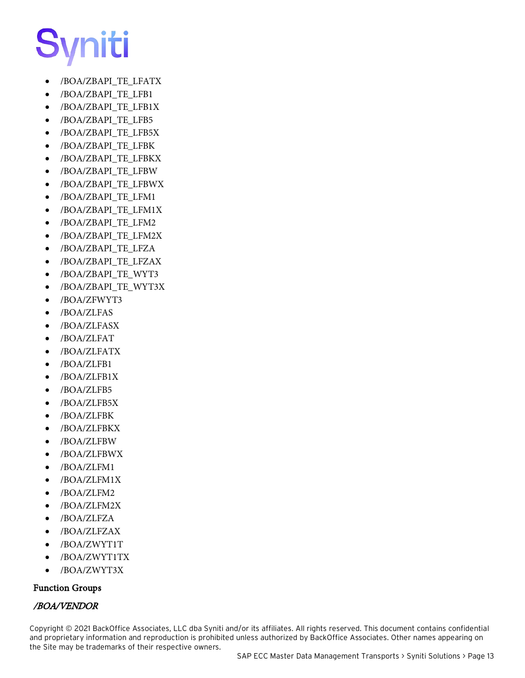- /BOA/ZBAPI\_TE\_LFATX
- /BOA/ZBAPI\_TE\_LFB1
- /BOA/ZBAPI\_TE\_LFB1X
- /BOA/ZBAPI\_TE\_LFB5
- /BOA/ZBAPI\_TE\_LFB5X
- /BOA/ZBAPI\_TE\_LFBK
- /BOA/ZBAPI\_TE\_LFBKX
- /BOA/ZBAPI\_TE\_LFBW
- /BOA/ZBAPI\_TE\_LFBWX
- /BOA/ZBAPI\_TE\_LFM1
- /BOA/ZBAPI\_TE\_LFM1X
- /BOA/ZBAPI\_TE\_LFM2
- /BOA/ZBAPI\_TE\_LFM2X
- /BOA/ZBAPI\_TE\_LFZA
- /BOA/ZBAPI\_TE\_LFZAX
- /BOA/ZBAPI\_TE\_WYT3
- /BOA/ZBAPI\_TE\_WYT3X
- /BOA/ZFWYT3
- /BOA/ZLFAS
- /BOA/ZLFASX
- /BOA/ZLFAT
- /BOA/ZLFATX
- /BOA/ZLFB1
- /BOA/ZLFB1X
- /BOA/ZLFB5
- /BOA/ZLFB5X
- /BOA/ZLFBK
- /BOA/ZLFBKX
- /BOA/ZLFBW
- /BOA/ZLFBWX
- /BOA/ZLFM1
- /BOA/ZLFM1X
- /BOA/ZLFM2
- /BOA/ZLFM2X
- /BOA/ZLFZA
- /BOA/ZLFZAX
- /BOA/ZWYT1T
- /BOA/ZWYT1TX
- /BOA/ZWYT3X

#### Function Groups

#### /BOA/VENDOR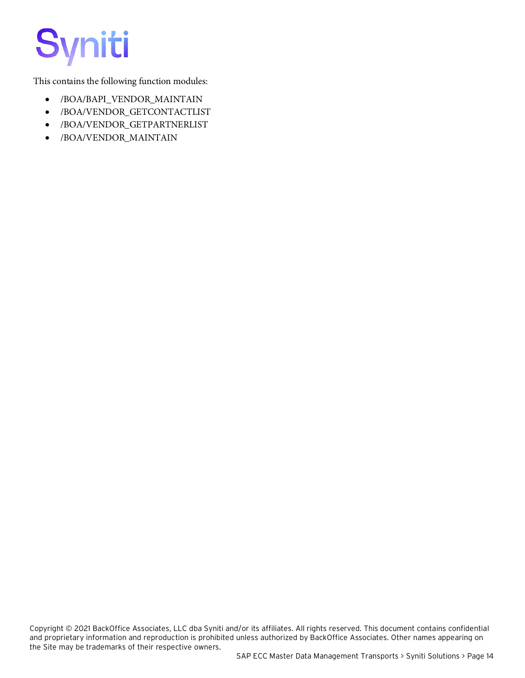This contains the following function modules:

- /BOA/BAPI\_VENDOR\_MAINTAIN
- /BOA/VENDOR\_GETCONTACTLIST
- /BOA/VENDOR\_GETPARTNERLIST
- /BOA/VENDOR\_MAINTAIN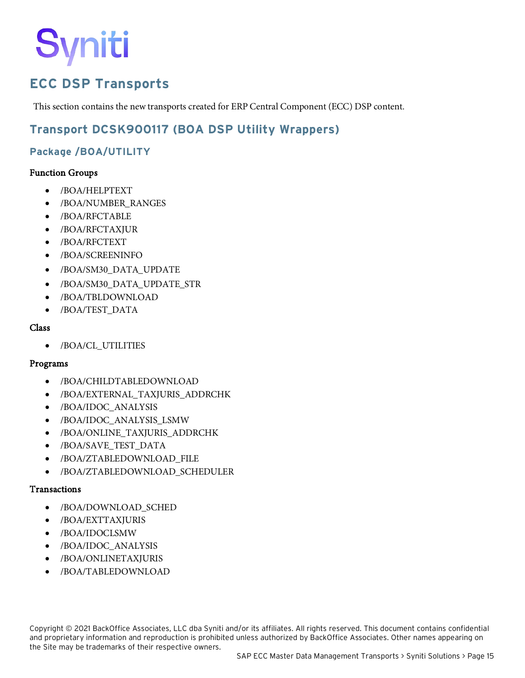# <span id="page-18-0"></span>**ECC DSP Transports**

This section contains the new transports created for ERP Central Component (ECC) DSP content.

## <span id="page-18-1"></span>**Transport DCSK900117 (BOA DSP Utility Wrappers)**

### **Package /BOA/UTILITY**

#### Function Groups

- /BOA/HELPTEXT
- /BOA/NUMBER\_RANGES
- /BOA/RFCTABLE
- /BOA/RFCTAXJUR
- /BOA/RFCTEXT
- /BOA/SCREENINFO
- /BOA/SM30\_DATA\_UPDATE
- /BOA/SM30\_DATA\_UPDATE\_STR
- /BOA/TBLDOWNLOAD
- /BOA/TEST\_DATA

#### Class

• /BOA/CL\_UTILITIES

#### Programs

- /BOA/CHILDTABLEDOWNLOAD
- /BOA/EXTERNAL\_TAXJURIS\_ADDRCHK
- /BOA/IDOC\_ANALYSIS
- /BOA/IDOC\_ANALYSIS\_LSMW
- /BOA/ONLINE\_TAXJURIS\_ADDRCHK
- /BOA/SAVE\_TEST\_DATA
- /BOA/ZTABLEDOWNLOAD\_FILE
- /BOA/ZTABLEDOWNLOAD\_SCHEDULER

#### Transactions

- /BOA/DOWNLOAD\_SCHED
- /BOA/EXTTAXJURIS
- /BOA/IDOCLSMW
- /BOA/IDOC\_ANALYSIS
- /BOA/ONLINETAXJURIS
- /BOA/TABLEDOWNLOAD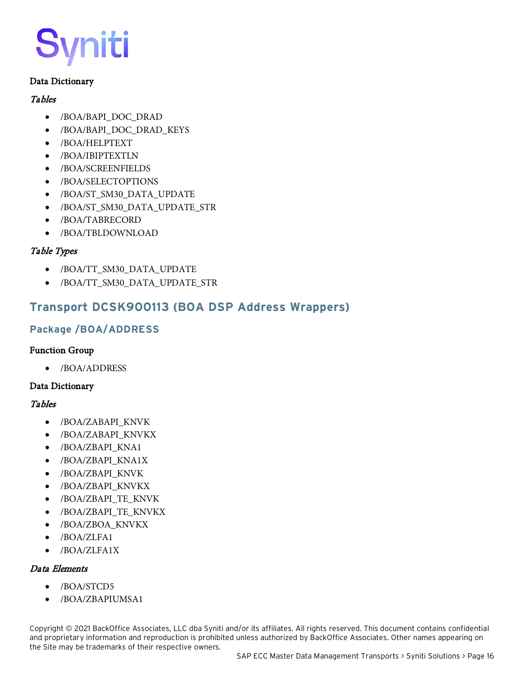#### Data Dictionary

#### **Tables**

- /BOA/BAPI\_DOC\_DRAD
- /BOA/BAPI\_DOC\_DRAD\_KEYS
- /BOA/HELPTEXT
- /BOA/IBIPTEXTLN
- /BOA/SCREENFIELDS
- /BOA/SELECTOPTIONS
- /BOA/ST\_SM30\_DATA\_UPDATE
- /BOA/ST\_SM30\_DATA\_UPDATE\_STR
- /BOA/TABRECORD
- /BOA/TBLDOWNLOAD

#### Table Types

- /BOA/TT\_SM30\_DATA\_UPDATE
- /BOA/TT\_SM30\_DATA\_UPDATE\_STR

### <span id="page-19-0"></span>**Transport DCSK900113 (BOA DSP Address Wrappers)**

#### **Package /BOA/ADDRESS**

#### Function Group

• /BOA/ADDRESS

#### Data Dictionary

#### Tables

- /BOA/ZABAPI\_KNVK
- /BOA/ZABAPI\_KNVKX
- /BOA/ZBAPI\_KNA1
- /BOA/ZBAPI\_KNA1X
- /BOA/ZBAPI\_KNVK
- /BOA/ZBAPI\_KNVKX
- /BOA/ZBAPI\_TE\_KNVK
- /BOA/ZBAPI\_TE\_KNVKX
- /BOA/ZBOA\_KNVKX
- /BOA/ZLFA1
- /BOA/ZLFA1X

#### Data Elements

- /BOA/STCD5
- /BOA/ZBAPIUMSA1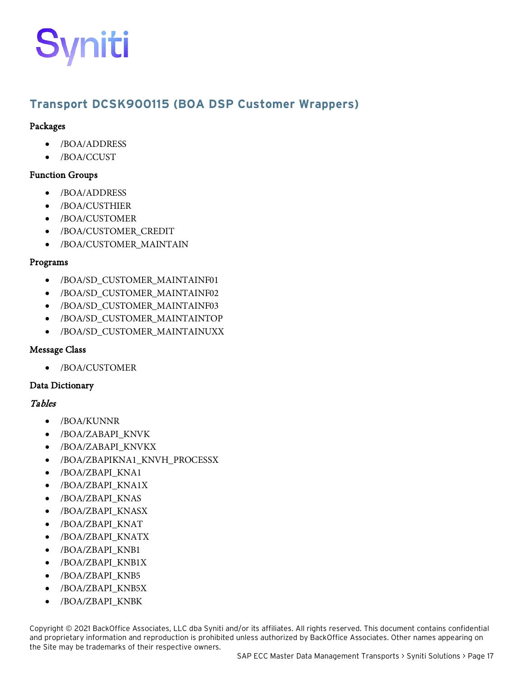## <span id="page-20-0"></span>**Transport DCSK900115 (BOA DSP Customer Wrappers)**

#### Packages

- /BOA/ADDRESS
- /BOA/CCUST

#### Function Groups

- /BOA/ADDRESS
- /BOA/CUSTHIER
- /BOA/CUSTOMER
- /BOA/CUSTOMER\_CREDIT
- /BOA/CUSTOMER\_MAINTAIN

#### Programs

- /BOA/SD\_CUSTOMER\_MAINTAINF01
- /BOA/SD\_CUSTOMER\_MAINTAINF02
- /BOA/SD\_CUSTOMER\_MAINTAINF03
- /BOA/SD\_CUSTOMER\_MAINTAINTOP
- /BOA/SD\_CUSTOMER\_MAINTAINUXX

#### Message Class

• /BOA/CUSTOMER

#### Data Dictionary

#### Tables

- /BOA/KUNNR
- /BOA/ZABAPI\_KNVK
- /BOA/ZABAPI\_KNVKX
- /BOA/ZBAPIKNA1\_KNVH\_PROCESSX
- /BOA/ZBAPI\_KNA1
- /BOA/ZBAPI\_KNA1X
- /BOA/ZBAPI\_KNAS
- /BOA/ZBAPI\_KNASX
- /BOA/ZBAPI\_KNAT
- /BOA/ZBAPI\_KNATX
- /BOA/ZBAPI\_KNB1
- /BOA/ZBAPI\_KNB1X
- /BOA/ZBAPI\_KNB5
- /BOA/ZBAPI\_KNB5X
- /BOA/ZBAPI\_KNBK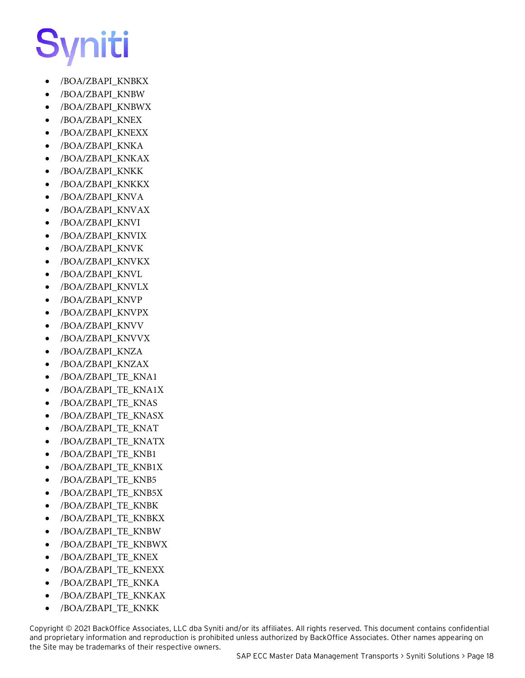- /BOA/ZBAPI\_KNBKX
- /BOA/ZBAPI\_KNBW
- /BOA/ZBAPI\_KNBWX
- /BOA/ZBAPI\_KNEX
- /BOA/ZBAPI\_KNEXX
- /BOA/ZBAPI\_KNKA
- /BOA/ZBAPI\_KNKAX
- /BOA/ZBAPI\_KNKK
- /BOA/ZBAPI\_KNKKX
- /BOA/ZBAPI\_KNVA
- /BOA/ZBAPI\_KNVAX
- /BOA/ZBAPI\_KNVI
- /BOA/ZBAPI\_KNVIX
- /BOA/ZBAPI\_KNVK
- /BOA/ZBAPI\_KNVKX
- /BOA/ZBAPI\_KNVL
- /BOA/ZBAPI\_KNVLX
- /BOA/ZBAPI\_KNVP
- /BOA/ZBAPI\_KNVPX
- /BOA/ZBAPI\_KNVV
- /BOA/ZBAPI\_KNVVX
- /BOA/ZBAPI\_KNZA
- /BOA/ZBAPI\_KNZAX
- /BOA/ZBAPI\_TE\_KNA1
- /BOA/ZBAPI\_TE\_KNA1X
- /BOA/ZBAPI\_TE\_KNAS
- /BOA/ZBAPI\_TE\_KNASX
- /BOA/ZBAPI\_TE\_KNAT
- /BOA/ZBAPI\_TE\_KNATX
- /BOA/ZBAPI\_TE\_KNB1
- /BOA/ZBAPI\_TE\_KNB1X
- /BOA/ZBAPI\_TE\_KNB5
- /BOA/ZBAPI\_TE\_KNB5X
- /BOA/ZBAPI\_TE\_KNBK
- /BOA/ZBAPI\_TE\_KNBKX
- /BOA/ZBAPI\_TE\_KNBW
- /BOA/ZBAPI\_TE\_KNBWX
- /BOA/ZBAPI\_TE\_KNEX
- /BOA/ZBAPI\_TE\_KNEXX
- /BOA/ZBAPI\_TE\_KNKA
- /BOA/ZBAPI\_TE\_KNKAX
- /BOA/ZBAPI\_TE\_KNKK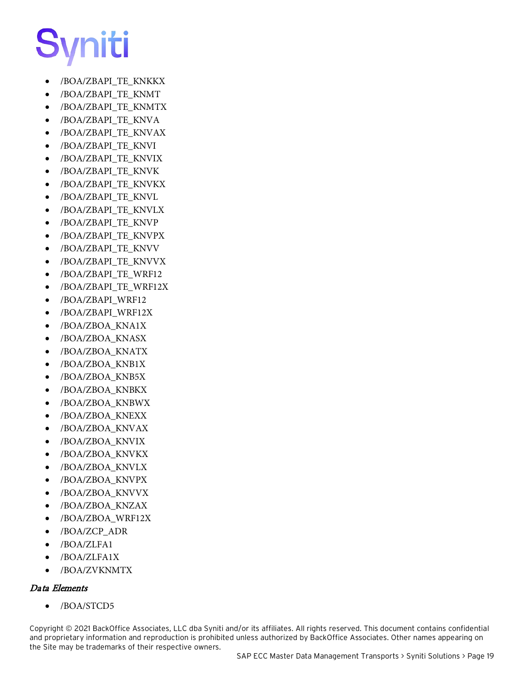- /BOA/ZBAPI\_TE\_KNKKX
- /BOA/ZBAPI\_TE\_KNMT
- /BOA/ZBAPI\_TE\_KNMTX
- /BOA/ZBAPI\_TE\_KNVA
- /BOA/ZBAPI\_TE\_KNVAX
- /BOA/ZBAPI\_TE\_KNVI
- /BOA/ZBAPI\_TE\_KNVIX
- /BOA/ZBAPI\_TE\_KNVK
- /BOA/ZBAPI\_TE\_KNVKX
- /BOA/ZBAPI\_TE\_KNVL
- /BOA/ZBAPI\_TE\_KNVLX
- /BOA/ZBAPI\_TE\_KNVP
- /BOA/ZBAPI\_TE\_KNVPX
- /BOA/ZBAPI\_TE\_KNVV
- /BOA/ZBAPI\_TE\_KNVVX
- /BOA/ZBAPI\_TE\_WRF12
- /BOA/ZBAPI\_TE\_WRF12X
- /BOA/ZBAPI\_WRF12
- /BOA/ZBAPI\_WRF12X
- /BOA/ZBOA\_KNA1X
- /BOA/ZBOA\_KNASX
- /BOA/ZBOA\_KNATX
- /BOA/ZBOA\_KNB1X
- /BOA/ZBOA\_KNB5X
- /BOA/ZBOA\_KNBKX
- /BOA/ZBOA\_KNBWX
- /BOA/ZBOA\_KNEXX
- /BOA/ZBOA\_KNVAX
- /BOA/ZBOA\_KNVIX
- /BOA/ZBOA\_KNVKX
- /BOA/ZBOA\_KNVLX
- /BOA/ZBOA\_KNVPX
- /BOA/ZBOA\_KNVVX
- /BOA/ZBOA\_KNZAX
- /BOA/ZBOA\_WRF12X
- /BOA/ZCP\_ADR
- /BOA/ZLFA1
- /BOA/ZLFA1X
- /BOA/ZVKNMTX

#### Data Elements

• /BOA/STCD5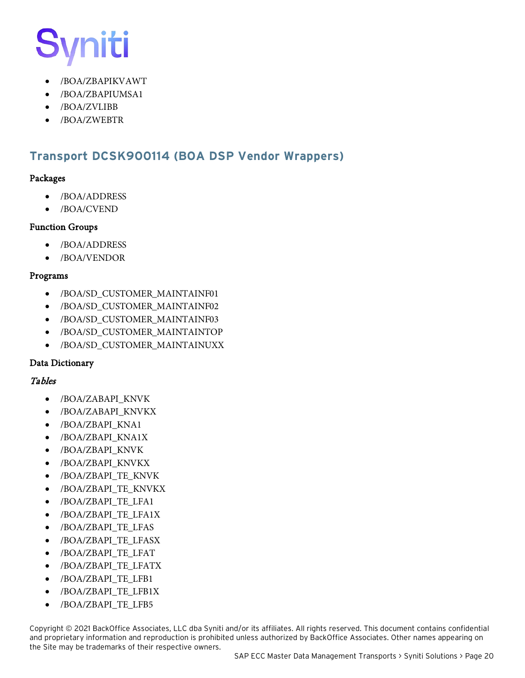- /BOA/ZBAPIKVAWT
- /BOA/ZBAPIUMSA1
- /BOA/ZVLIBB
- /BOA/ZWEBTR

### <span id="page-23-0"></span>**Transport DCSK900114 (BOA DSP Vendor Wrappers)**

#### Packages

- /BOA/ADDRESS
- /BOA/CVEND

#### Function Groups

- /BOA/ADDRESS
- /BOA/VENDOR

#### Programs

- /BOA/SD\_CUSTOMER\_MAINTAINF01
- /BOA/SD\_CUSTOMER\_MAINTAINF02
- /BOA/SD\_CUSTOMER\_MAINTAINF03
- /BOA/SD\_CUSTOMER\_MAINTAINTOP
- /BOA/SD\_CUSTOMER\_MAINTAINUXX

#### Data Dictionary

#### Tables

- /BOA/ZABAPI\_KNVK
- /BOA/ZABAPI\_KNVKX
- /BOA/ZBAPI\_KNA1
- /BOA/ZBAPI\_KNA1X
- /BOA/ZBAPI\_KNVK
- /BOA/ZBAPI\_KNVKX
- /BOA/ZBAPI\_TE\_KNVK
- /BOA/ZBAPI\_TE\_KNVKX
- /BOA/ZBAPI\_TE\_LFA1
- /BOA/ZBAPI\_TE\_LFA1X
- /BOA/ZBAPI\_TE\_LFAS
- /BOA/ZBAPI\_TE\_LFASX
- /BOA/ZBAPI\_TE\_LFAT
- /BOA/ZBAPI\_TE\_LFATX
- /BOA/ZBAPI\_TE\_LFB1
- /BOA/ZBAPI\_TE\_LFB1X
- /BOA/ZBAPI\_TE\_LFB5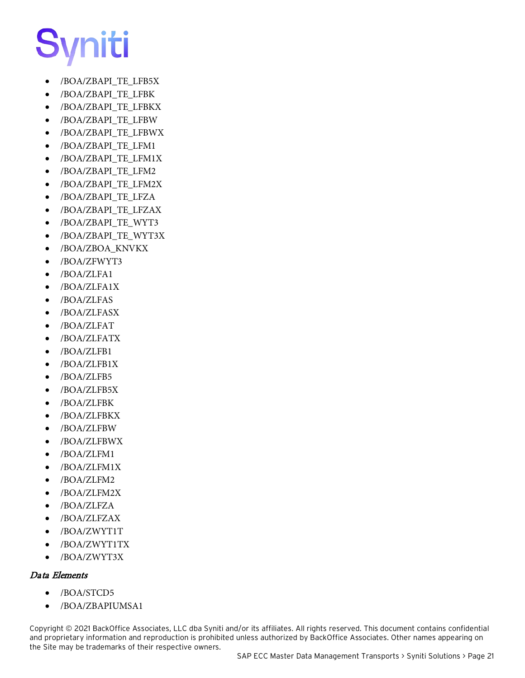- /BOA/ZBAPI\_TE\_LFB5X
- /BOA/ZBAPI\_TE\_LFBK
- /BOA/ZBAPI\_TE\_LFBKX
- /BOA/ZBAPI\_TE\_LFBW
- /BOA/ZBAPI\_TE\_LFBWX
- /BOA/ZBAPI\_TE\_LFM1
- /BOA/ZBAPI\_TE\_LFM1X
- /BOA/ZBAPI\_TE\_LFM2
- /BOA/ZBAPI\_TE\_LFM2X
- /BOA/ZBAPI\_TE\_LFZA
- /BOA/ZBAPI\_TE\_LFZAX
- /BOA/ZBAPI\_TE\_WYT3
- /BOA/ZBAPI\_TE\_WYT3X
- /BOA/ZBOA\_KNVKX
- /BOA/ZFWYT3
- /BOA/ZLFA1
- /BOA/ZLFA1X
- /BOA/ZLFAS
- /BOA/ZLFASX
- /BOA/ZLFAT
- /BOA/ZLFATX
- /BOA/ZLFB1
- /BOA/ZLFB1X
- /BOA/ZLFB5
- /BOA/ZLFB5X
- /BOA/ZLFBK
- /BOA/ZLFBKX
- /BOA/ZLFBW
- /BOA/ZLFBWX
- /BOA/ZLFM1
- /BOA/ZLFM1X
- /BOA/ZLFM2
- /BOA/ZLFM2X
- /BOA/ZLFZA
- /BOA/ZLFZAX
- /BOA/ZWYT1T
- /BOA/ZWYT1TX
- /BOA/ZWYT3X

#### Data Elements

- /BOA/STCD5
- /BOA/ZBAPIUMSA1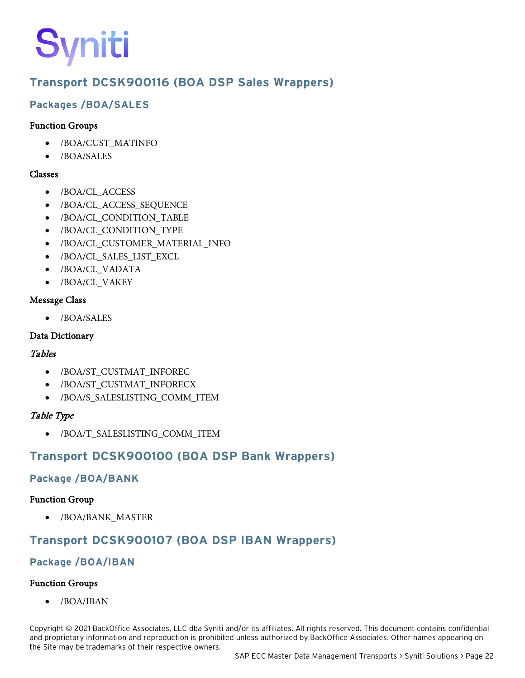## <span id="page-25-0"></span>**Transport DCSK900116 (BOA DSP Sales Wrappers)**

### **Packages /BOA/SALES**

#### Function Groups

- /BOA/CUST\_MATINFO
- /BOA/SALES

#### Classes

- /BOA/CL\_ACCESS
- /BOA/CL\_ACCESS\_SEQUENCE
- /BOA/CL\_CONDITION\_TABLE
- /BOA/CL\_CONDITION\_TYPE
- /BOA/CL\_CUSTOMER\_MATERIAL\_INFO
- /BOA/CL\_SALES\_LIST\_EXCL
- /BOA/CL\_VADATA
- /BOA/CL\_VAKEY

#### Message Class

• /BOA/SALES

#### Data Dictionary

#### **Tables**

- /BOA/ST\_CUSTMAT\_INFOREC
- /BOA/ST\_CUSTMAT\_INFORECX
- /BOA/S\_SALESLISTING\_COMM\_ITEM

#### Table Type

• /BOA/T\_SALESLISTING\_COMM\_ITEM

# <span id="page-25-1"></span>**Transport DCSK900100 (BOA DSP Bank Wrappers)**

#### **Package /BOA/BANK**

#### Function Group

• /BOA/BANK\_MASTER

# <span id="page-25-2"></span>**Transport DCSK900107 (BOA DSP IBAN Wrappers)**

### **Package /BOA/IBAN**

### Function Groups

• /BOA/IBAN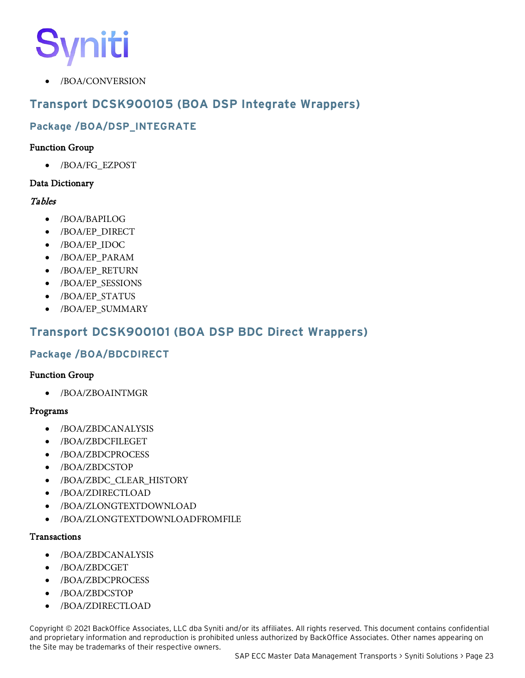• /BOA/CONVERSION

## <span id="page-26-0"></span>**Transport DCSK900105 (BOA DSP Integrate Wrappers)**

### **Package /BOA/DSP\_INTEGRATE**

#### Function Group

• /BOA/FG\_EZPOST

#### Data Dictionary

#### Tables

- /BOA/BAPILOG
- /BOA/EP\_DIRECT
- /BOA/EP\_IDOC
- /BOA/EP\_PARAM
- /BOA/EP\_RETURN
- /BOA/EP\_SESSIONS
- /BOA/EP\_STATUS
- /BOA/EP\_SUMMARY

### <span id="page-26-1"></span>**Transport DCSK900101 (BOA DSP BDC Direct Wrappers)**

#### **Package /BOA/BDCDIRECT**

#### Function Group

• /BOA/ZBOAINTMGR

#### Programs

- /BOA/ZBDCANALYSIS
- /BOA/ZBDCFILEGET
- /BOA/ZBDCPROCESS
- /BOA/ZBDCSTOP
- /BOA/ZBDC\_CLEAR\_HISTORY
- /BOA/ZDIRECTLOAD
- /BOA/ZLONGTEXTDOWNLOAD
- /BOA/ZLONGTEXTDOWNLOADFROMFILE

#### **Transactions**

- /BOA/ZBDCANALYSIS
- /BOA/ZBDCGET
- /BOA/ZBDCPROCESS
- /BOA/ZBDCSTOP
- /BOA/ZDIRECTLOAD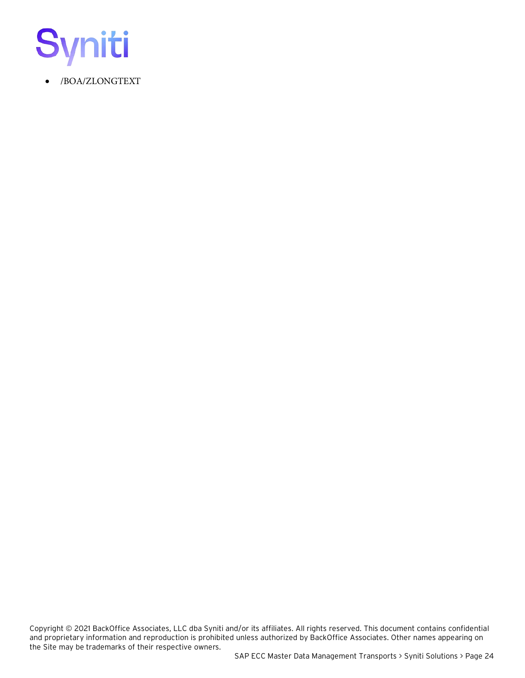

• /BOA/ZLONGTEXT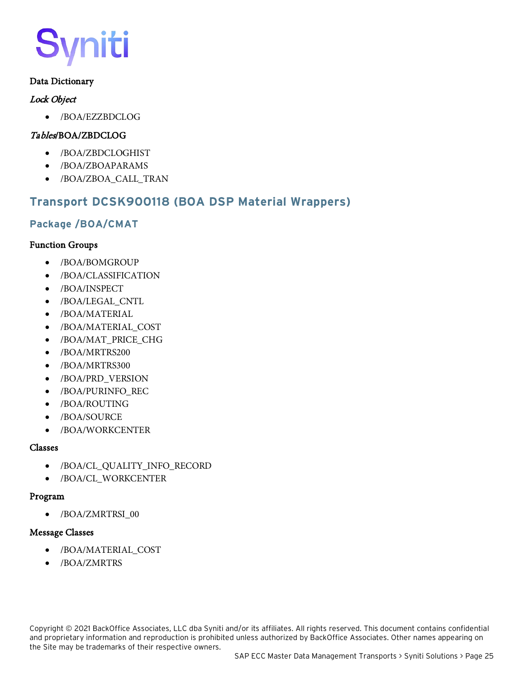#### Data Dictionary

#### Lock Object

• /BOA/EZZBDCLOG

#### Tables/BOA/ZBDCLOG

- /BOA/ZBDCLOGHIST
- /BOA/ZBOAPARAMS
- /BOA/ZBOA\_CALL\_TRAN

### <span id="page-28-0"></span>**Transport DCSK900118 (BOA DSP Material Wrappers)**

#### **Package /BOA/CMAT**

#### Function Groups

- /BOA/BOMGROUP
- /BOA/CLASSIFICATION
- /BOA/INSPECT
- /BOA/LEGAL\_CNTL
- /BOA/MATERIAL
- /BOA/MATERIAL\_COST
- /BOA/MAT\_PRICE\_CHG
- /BOA/MRTRS200
- /BOA/MRTRS300
- /BOA/PRD\_VERSION
- /BOA/PURINFO\_REC
- /BOA/ROUTING
- /BOA/SOURCE
- /BOA/WORKCENTER

#### Classes

- /BOA/CL\_QUALITY\_INFO\_RECORD
- /BOA/CL\_WORKCENTER

#### Program

• /BOA/ZMRTRSI\_00

#### Message Classes

- /BOA/MATERIAL\_COST
- /BOA/ZMRTRS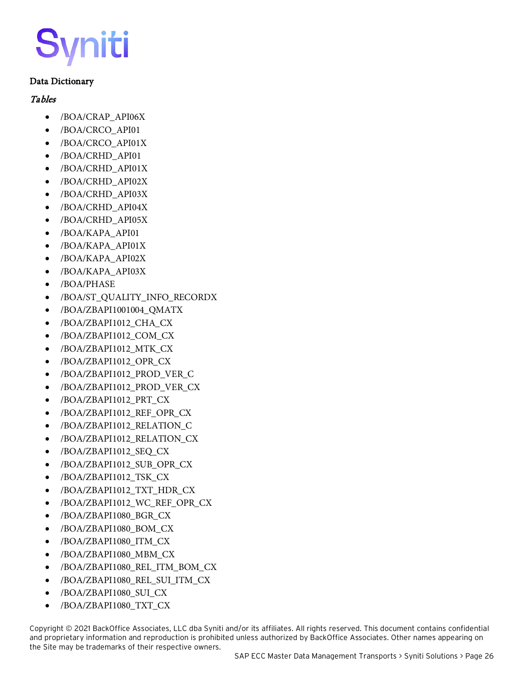#### Data Dictionary

#### **Tables**

- /BOA/CRAP\_API06X
- /BOA/CRCO\_API01
- /BOA/CRCO\_API01X
- /BOA/CRHD\_API01
- /BOA/CRHD\_API01X
- /BOA/CRHD\_API02X
- /BOA/CRHD\_API03X
- /BOA/CRHD\_API04X
- /BOA/CRHD\_API05X
- /BOA/KAPA\_API01
- /BOA/KAPA\_API01X
- /BOA/KAPA\_API02X
- /BOA/KAPA\_API03X
- /BOA/PHASE
- /BOA/ST\_QUALITY\_INFO\_RECORDX
- /BOA/ZBAPI1001004\_QMATX
- /BOA/ZBAPI1012\_CHA\_CX
- /BOA/ZBAPI1012\_COM\_CX
- /BOA/ZBAPI1012\_MTK\_CX
- /BOA/ZBAPI1012\_OPR\_CX
- /BOA/ZBAPI1012\_PROD\_VER\_C
- /BOA/ZBAPI1012\_PROD\_VER\_CX
- /BOA/ZBAPI1012\_PRT\_CX
- /BOA/ZBAPI1012\_REF\_OPR\_CX
- /BOA/ZBAPI1012\_RELATION\_C
- /BOA/ZBAPI1012\_RELATION\_CX
- /BOA/ZBAPI1012\_SEQ\_CX
- /BOA/ZBAPI1012\_SUB\_OPR\_CX
- /BOA/ZBAPI1012\_TSK\_CX
- /BOA/ZBAPI1012\_TXT\_HDR\_CX
- /BOA/ZBAPI1012\_WC\_REF\_OPR\_CX
- /BOA/ZBAPI1080\_BGR\_CX
- /BOA/ZBAPI1080\_BOM\_CX
- /BOA/ZBAPI1080\_ITM\_CX
- /BOA/ZBAPI1080\_MBM\_CX
- /BOA/ZBAPI1080\_REL\_ITM\_BOM\_CX
- /BOA/ZBAPI1080\_REL\_SUI\_ITM\_CX
- /BOA/ZBAPI1080\_SUI\_CX
- /BOA/ZBAPI1080\_TXT\_CX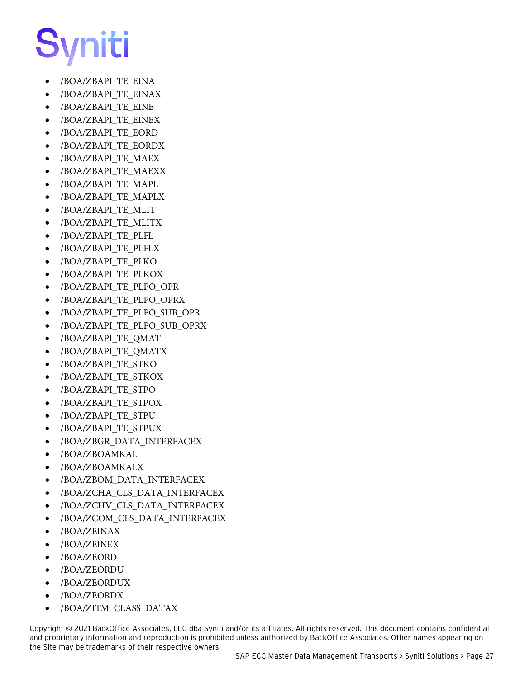- /BOA/ZBAPI\_TE\_EINA
- /BOA/ZBAPI\_TE\_EINAX
- /BOA/ZBAPI\_TE\_EINE
- /BOA/ZBAPI\_TE\_EINEX
- /BOA/ZBAPI\_TE\_EORD
- /BOA/ZBAPI\_TE\_EORDX
- /BOA/ZBAPI\_TE\_MAEX
- /BOA/ZBAPI\_TE\_MAEXX
- /BOA/ZBAPI\_TE\_MAPL
- /BOA/ZBAPI\_TE\_MAPLX
- /BOA/ZBAPI\_TE\_MLIT
- /BOA/ZBAPI\_TE\_MLITX
- /BOA/ZBAPI\_TE\_PLFL
- /BOA/ZBAPI\_TE\_PLFLX
- /BOA/ZBAPI\_TE\_PLKO
- /BOA/ZBAPI\_TE\_PLKOX
- /BOA/ZBAPI\_TE\_PLPO\_OPR
- /BOA/ZBAPI\_TE\_PLPO\_OPRX
- /BOA/ZBAPI\_TE\_PLPO\_SUB\_OPR
- /BOA/ZBAPI\_TE\_PLPO\_SUB\_OPRX
- /BOA/ZBAPI\_TE\_QMAT
- /BOA/ZBAPI\_TE\_QMATX
- /BOA/ZBAPI\_TE\_STKO
- /BOA/ZBAPI\_TE\_STKOX
- /BOA/ZBAPI\_TE\_STPO
- /BOA/ZBAPI\_TE\_STPOX
- /BOA/ZBAPI\_TE\_STPU
- /BOA/ZBAPI\_TE\_STPUX
- /BOA/ZBGR\_DATA\_INTERFACEX
- /BOA/ZBOAMKAL
- /BOA/ZBOAMKALX
- /BOA/ZBOM\_DATA\_INTERFACEX
- /BOA/ZCHA\_CLS\_DATA\_INTERFACEX
- /BOA/ZCHV\_CLS\_DATA\_INTERFACEX
- /BOA/ZCOM\_CLS\_DATA\_INTERFACEX
- /BOA/ZEINAX
- /BOA/ZEINEX
- /BOA/ZEORD
- /BOA/ZEORDU
- /BOA/ZEORDUX
- /BOA/ZEORDX
- /BOA/ZITM\_CLASS\_DATAX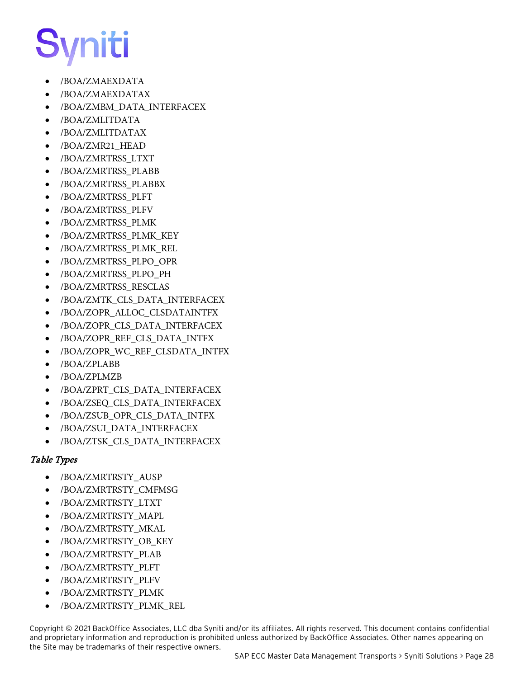- /BOA/ZMAEXDATA
- /BOA/ZMAEXDATAX
- /BOA/ZMBM\_DATA\_INTERFACEX
- /BOA/ZMLITDATA
- /BOA/ZMLITDATAX
- /BOA/ZMR21\_HEAD
- /BOA/ZMRTRSS\_LTXT
- /BOA/ZMRTRSS\_PLABB
- /BOA/ZMRTRSS\_PLABBX
- /BOA/ZMRTRSS\_PLFT
- /BOA/ZMRTRSS\_PLFV
- /BOA/ZMRTRSS\_PLMK
- /BOA/ZMRTRSS\_PLMK\_KEY
- /BOA/ZMRTRSS\_PLMK\_REL
- /BOA/ZMRTRSS\_PLPO\_OPR
- /BOA/ZMRTRSS\_PLPO\_PH
- /BOA/ZMRTRSS\_RESCLAS
- /BOA/ZMTK\_CLS\_DATA\_INTERFACEX
- /BOA/ZOPR\_ALLOC\_CLSDATAINTFX
- /BOA/ZOPR\_CLS\_DATA\_INTERFACEX
- /BOA/ZOPR\_REF\_CLS\_DATA\_INTFX
- /BOA/ZOPR\_WC\_REF\_CLSDATA\_INTFX
- /BOA/ZPLABB
- /BOA/ZPLMZB
- /BOA/ZPRT\_CLS\_DATA\_INTERFACEX
- /BOA/ZSEQ\_CLS\_DATA\_INTERFACEX
- /BOA/ZSUB\_OPR\_CLS\_DATA\_INTFX
- /BOA/ZSUI\_DATA\_INTERFACEX
- /BOA/ZTSK\_CLS\_DATA\_INTERFACEX

#### Table Types

- /BOA/ZMRTRSTY\_AUSP
- /BOA/ZMRTRSTY\_CMFMSG
- /BOA/ZMRTRSTY\_LTXT
- /BOA/ZMRTRSTY\_MAPL
- /BOA/ZMRTRSTY\_MKAL
- /BOA/ZMRTRSTY\_OB\_KEY
- /BOA/ZMRTRSTY\_PLAB
- /BOA/ZMRTRSTY\_PLFT
- /BOA/ZMRTRSTY\_PLFV
- /BOA/ZMRTRSTY\_PLMK
- /BOA/ZMRTRSTY\_PLMK\_REL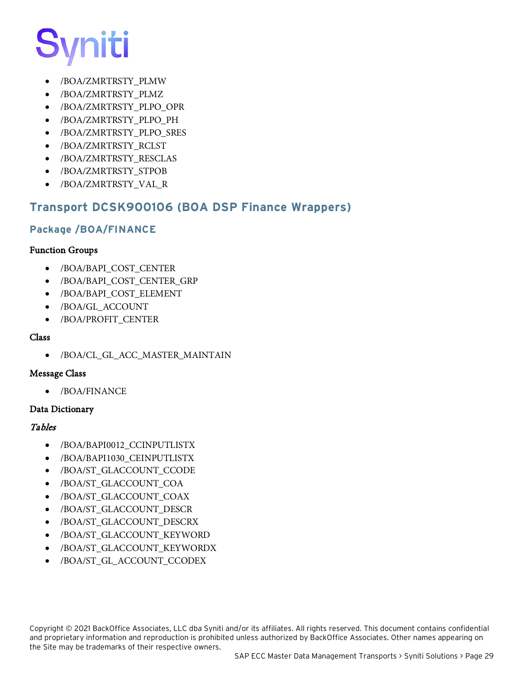

- /BOA/ZMRTRSTY\_PLMW
- /BOA/ZMRTRSTY\_PLMZ
- /BOA/ZMRTRSTY\_PLPO\_OPR
- /BOA/ZMRTRSTY\_PLPO\_PH
- /BOA/ZMRTRSTY\_PLPO\_SRES
- /BOA/ZMRTRSTY\_RCLST
- /BOA/ZMRTRSTY\_RESCLAS
- /BOA/ZMRTRSTY\_STPOB
- /BOA/ZMRTRSTY\_VAL\_R

### <span id="page-32-0"></span>**Transport DCSK900106 (BOA DSP Finance Wrappers)**

#### **Package /BOA/FINANCE**

#### Function Groups

- /BOA/BAPI\_COST\_CENTER
- /BOA/BAPI\_COST\_CENTER\_GRP
- /BOA/BAPI\_COST\_ELEMENT
- /BOA/GL\_ACCOUNT
- /BOA/PROFIT\_CENTER

#### Class

• /BOA/CL\_GL\_ACC\_MASTER\_MAINTAIN

#### Message Class

• /BOA/FINANCE

#### Data Dictionary

#### Tables

- /BOA/BAPI0012\_CCINPUTLISTX
- /BOA/BAPI1030\_CEINPUTLISTX
- /BOA/ST\_GLACCOUNT\_CCODE
- /BOA/ST\_GLACCOUNT\_COA
- /BOA/ST\_GLACCOUNT\_COAX
- /BOA/ST\_GLACCOUNT\_DESCR
- /BOA/ST\_GLACCOUNT\_DESCRX
- /BOA/ST\_GLACCOUNT\_KEYWORD
- /BOA/ST\_GLACCOUNT\_KEYWORDX
- /BOA/ST\_GL\_ACCOUNT\_CCODEX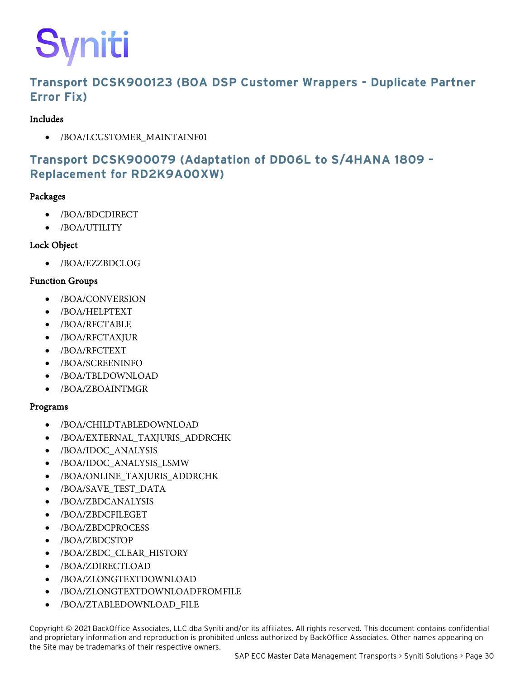## <span id="page-33-0"></span>**Transport DCSK900123 (BOA DSP Customer Wrappers - Duplicate Partner Error Fix)**

#### Includes

• /BOA/LCUSTOMER\_MAINTAINF01

# <span id="page-33-1"></span>**Transport DCSK900079 (Adaptation of DD06L to S/4HANA 1809 – Replacement for RD2K9A00XW)**

#### Packages

- /BOA/BDCDIRECT
- /BOA/UTILITY

#### Lock Object

• /BOA/EZZBDCLOG

#### Function Groups

- /BOA/CONVERSION
- /BOA/HELPTEXT
- /BOA/RFCTABLE
- /BOA/RFCTAXJUR
- /BOA/RFCTEXT
- /BOA/SCREENINFO
- /BOA/TBLDOWNLOAD
- /BOA/ZBOAINTMGR

#### Programs

- /BOA/CHILDTABLEDOWNLOAD
- /BOA/EXTERNAL\_TAXJURIS\_ADDRCHK
- /BOA/IDOC\_ANALYSIS
- /BOA/IDOC\_ANALYSIS\_LSMW
- /BOA/ONLINE\_TAXJURIS\_ADDRCHK
- /BOA/SAVE\_TEST\_DATA
- /BOA/ZBDCANALYSIS
- /BOA/ZBDCFILEGET
- /BOA/ZBDCPROCESS
- /BOA/ZBDCSTOP
- /BOA/ZBDC\_CLEAR\_HISTORY
- /BOA/ZDIRECTLOAD
- /BOA/ZLONGTEXTDOWNLOAD
- /BOA/ZLONGTEXTDOWNLOADFROMFILE
- /BOA/ZTABLEDOWNLOAD\_FILE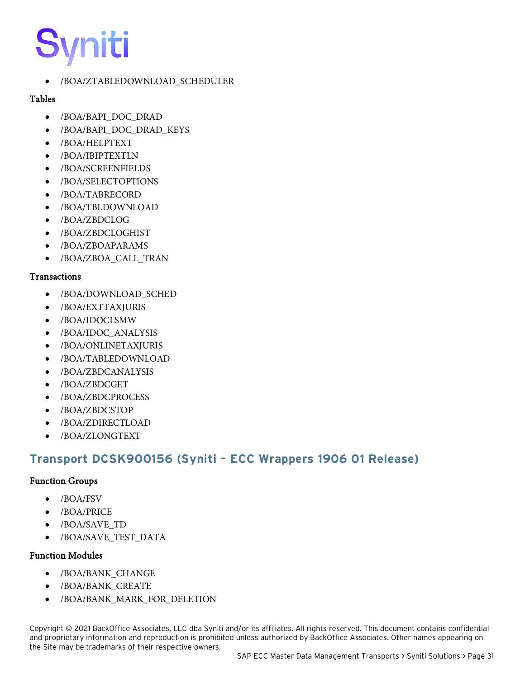• /BOA/ZTABLEDOWNLOAD\_SCHEDULER

#### Tables

- /BOA/BAPI\_DOC\_DRAD
- /BOA/BAPI\_DOC\_DRAD\_KEYS
- /BOA/HELPTEXT
- /BOA/IBIPTEXTLN
- /BOA/SCREENFIELDS
- /BOA/SELECTOPTIONS
- /BOA/TABRECORD
- /BOA/TBLDOWNLOAD
- /BOA/ZBDCLOG
- /BOA/ZBDCLOGHIST
- /BOA/ZBOAPARAMS
- /BOA/ZBOA\_CALL\_TRAN

#### **Transactions**

- /BOA/DOWNLOAD\_SCHED
- /BOA/EXTTAXJURIS
- /BOA/IDOCLSMW
- /BOA/IDOC\_ANALYSIS
- /BOA/ONLINETAXJURIS
- /BOA/TABLEDOWNLOAD
- /BOA/ZBDCANALYSIS
- /BOA/ZBDCGET
- /BOA/ZBDCPROCESS
- /BOA/ZBDCSTOP
- /BOA/ZDIRECTLOAD
- /BOA/ZLONGTEXT

# <span id="page-34-0"></span>**Transport DCSK900156 (Syniti – ECC Wrappers 1906 01 Release)**

#### Function Groups

- /BOA/FSV
- /BOA/PRICE
- /BOA/SAVE\_TD
- /BOA/SAVE\_TEST\_DATA

#### Function Modules

- /BOA/BANK\_CHANGE
- /BOA/BANK\_CREATE
- /BOA/BANK\_MARK\_FOR\_DELETION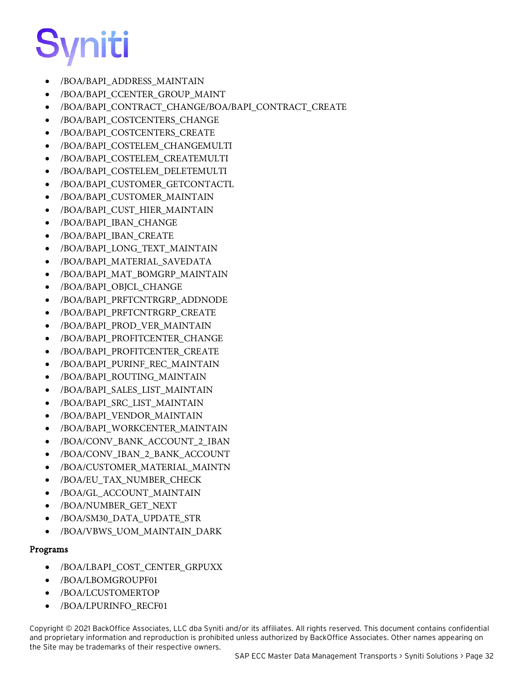

- /BOA/BAPI\_ADDRESS\_MAINTAIN
- /BOA/BAPI\_CCENTER\_GROUP\_MAINT
- /BOA/BAPI\_CONTRACT\_CHANGE/BOA/BAPI\_CONTRACT\_CREATE
- /BOA/BAPI\_COSTCENTERS\_CHANGE
- /BOA/BAPI\_COSTCENTERS\_CREATE
- /BOA/BAPI\_COSTELEM\_CHANGEMULTI
- /BOA/BAPI\_COSTELEM\_CREATEMULTI
- /BOA/BAPI\_COSTELEM\_DELETEMULTI
- /BOA/BAPI\_CUSTOMER\_GETCONTACTL
- /BOA/BAPI\_CUSTOMER\_MAINTAIN
- /BOA/BAPI\_CUST\_HIER\_MAINTAIN
- /BOA/BAPI\_IBAN\_CHANGE
- /BOA/BAPI\_IBAN\_CREATE
- /BOA/BAPI\_LONG\_TEXT\_MAINTAIN
- /BOA/BAPI\_MATERIAL\_SAVEDATA
- /BOA/BAPI\_MAT\_BOMGRP\_MAINTAIN
- /BOA/BAPI\_OBJCL\_CHANGE
- /BOA/BAPI\_PRFTCNTRGRP\_ADDNODE
- /BOA/BAPI\_PRFTCNTRGRP\_CREATE
- /BOA/BAPI\_PROD\_VER\_MAINTAIN
- /BOA/BAPI\_PROFITCENTER\_CHANGE
- /BOA/BAPI\_PROFITCENTER\_CREATE
- /BOA/BAPI\_PURINF\_REC\_MAINTAIN
- /BOA/BAPI\_ROUTING\_MAINTAIN
- /BOA/BAPI\_SALES\_LIST\_MAINTAIN
- /BOA/BAPI\_SRC\_LIST\_MAINTAIN
- /BOA/BAPI\_VENDOR\_MAINTAIN
- /BOA/BAPI\_WORKCENTER\_MAINTAIN
- /BOA/CONV\_BANK\_ACCOUNT\_2\_IBAN
- /BOA/CONV\_IBAN\_2\_BANK\_ACCOUNT
- /BOA/CUSTOMER\_MATERIAL\_MAINTN
- /BOA/EU\_TAX\_NUMBER\_CHECK
- /BOA/GL\_ACCOUNT\_MAINTAIN
- /BOA/NUMBER\_GET\_NEXT
- /BOA/SM30\_DATA\_UPDATE\_STR
- /BOA/VBWS\_UOM\_MAINTAIN\_DARK

#### Programs

- /BOA/LBAPI\_COST\_CENTER\_GRPUXX
- /BOA/LBOMGROUPF01
- /BOA/LCUSTOMERTOP
- /BOA/LPURINFO\_RECF01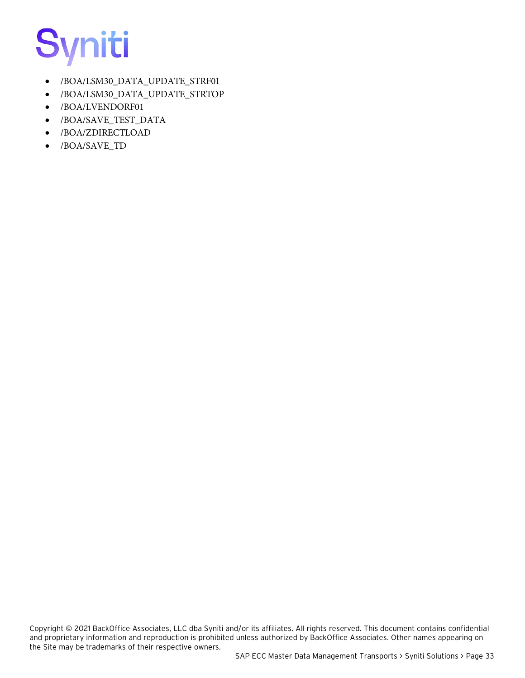

- /BOA/LSM30\_DATA\_UPDATE\_STRF01
- /BOA/LSM30\_DATA\_UPDATE\_STRTOP
- /BOA/LVENDORF01
- /BOA/SAVE\_TEST\_DATA
- /BOA/ZDIRECTLOAD
- /BOA/SAVE\_TD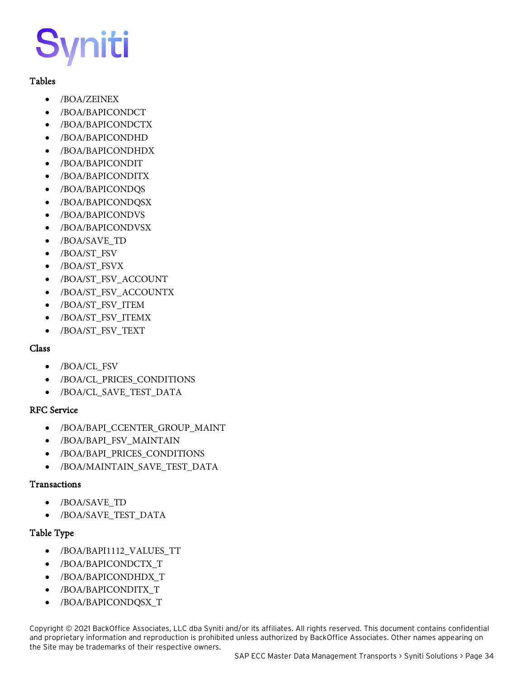#### Tables

- /BOA/ZEINEX
- /BOA/BAPICONDCT
- /BOA/BAPICONDCTX
- /BOA/BAPICONDHD
- /BOA/BAPICONDHDX
- /BOA/BAPICONDIT
- /BOA/BAPICONDITX
- /BOA/BAPICONDQS
- /BOA/BAPICONDQSX
- /BOA/BAPICONDVS
- /BOA/BAPICONDVSX
- /BOA/SAVE\_TD
- /BOA/ST\_FSV
- /BOA/ST\_FSVX
- /BOA/ST\_FSV\_ACCOUNT
- /BOA/ST\_FSV\_ACCOUNTX
- /BOA/ST\_FSV\_ITEM
- /BOA/ST\_FSV\_ITEMX
- /BOA/ST\_FSV\_TEXT

#### Class

- /BOA/CL\_FSV
- /BOA/CL\_PRICES\_CONDITIONS
- /BOA/CL\_SAVE\_TEST\_DATA

#### RFC Service

- /BOA/BAPI\_CCENTER\_GROUP\_MAINT
- /BOA/BAPI\_FSV\_MAINTAIN
- /BOA/BAPI\_PRICES\_CONDITIONS
- /BOA/MAINTAIN\_SAVE\_TEST\_DATA

#### Transactions

- /BOA/SAVE\_TD
- /BOA/SAVE\_TEST\_DATA

#### Table Type

- /BOA/BAPI1112\_VALUES\_TT
- /BOA/BAPICONDCTX\_T
- /BOA/BAPICONDHDX\_T
- /BOA/BAPICONDITX\_T
- /BOA/BAPICONDQSX\_T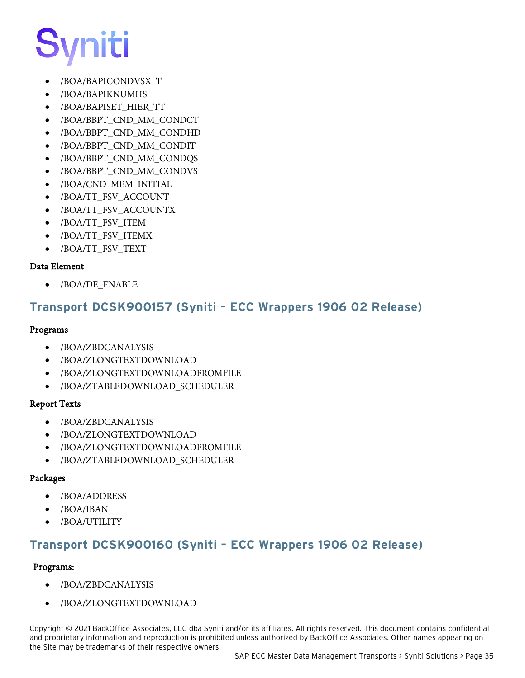- /BOA/BAPICONDVSX\_T
- /BOA/BAPIKNUMHS
- /BOA/BAPISET\_HIER\_TT
- /BOA/BBPT\_CND\_MM\_CONDCT
- /BOA/BBPT\_CND\_MM\_CONDHD
- /BOA/BBPT\_CND\_MM\_CONDIT
- /BOA/BBPT\_CND\_MM\_CONDQS
- /BOA/BBPT\_CND\_MM\_CONDVS
- /BOA/CND\_MEM\_INITIAL
- /BOA/TT\_FSV\_ACCOUNT
- /BOA/TT\_FSV\_ACCOUNTX
- /BOA/TT\_FSV\_ITEM
- /BOA/TT\_FSV\_ITEMX
- /BOA/TT\_FSV\_TEXT

#### Data Element

• /BOA/DE\_ENABLE

### <span id="page-38-0"></span>**Transport DCSK900157 (Syniti – ECC Wrappers 1906 02 Release)**

#### Programs

- /BOA/ZBDCANALYSIS
- /BOA/ZLONGTEXTDOWNLOAD
- /BOA/ZLONGTEXTDOWNLOADFROMFILE
- /BOA/ZTABLEDOWNLOAD\_SCHEDULER

#### Report Texts

- /BOA/ZBDCANALYSIS
- /BOA/ZLONGTEXTDOWNLOAD
- /BOA/ZLONGTEXTDOWNLOADFROMFILE
- /BOA/ZTABLEDOWNLOAD\_SCHEDULER

#### Packages

- /BOA/ADDRESS
- /BOA/IBAN
- /BOA/UTILITY

### <span id="page-38-1"></span>**Transport DCSK900160 (Syniti – ECC Wrappers 1906 02 Release)**

#### Programs:

- /BOA/ZBDCANALYSIS
- /BOA/ZLONGTEXTDOWNLOAD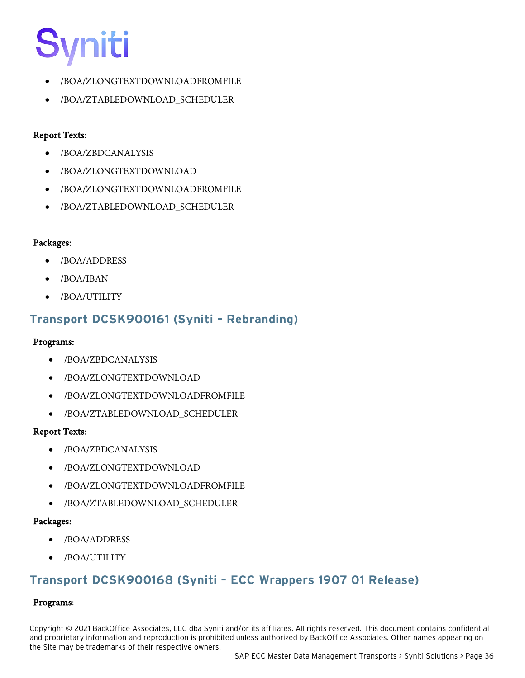- /BOA/ZLONGTEXTDOWNLOADFROMFILE
- /BOA/ZTABLEDOWNLOAD\_SCHEDULER

#### Report Texts:

- /BOA/ZBDCANALYSIS
- /BOA/ZLONGTEXTDOWNLOAD
- /BOA/ZLONGTEXTDOWNLOADFROMFILE
- /BOA/ZTABLEDOWNLOAD\_SCHEDULER

#### Packages:

- /BOA/ADDRESS
- /BOA/IBAN
- /BOA/UTILITY

### <span id="page-39-0"></span>**Transport DCSK900161 (Syniti – Rebranding)**

#### Programs:

- /BOA/ZBDCANALYSIS
- /BOA/ZLONGTEXTDOWNLOAD
- /BOA/ZLONGTEXTDOWNLOADFROMFILE
- /BOA/ZTABLEDOWNLOAD\_SCHEDULER

#### Report Texts:

- /BOA/ZBDCANALYSIS
- /BOA/ZLONGTEXTDOWNLOAD
- /BOA/ZLONGTEXTDOWNLOADFROMFILE
- /BOA/ZTABLEDOWNLOAD\_SCHEDULER

#### Packages:

- /BOA/ADDRESS
- /BOA/UTILITY

### <span id="page-39-1"></span>**Transport DCSK900168 (Syniti – ECC Wrappers 1907 01 Release)**

#### Programs: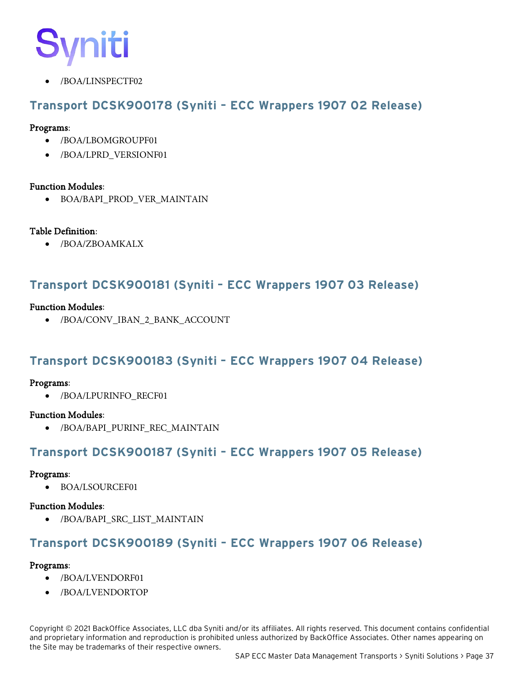# IIti

• /BOA/LINSPECTF02

### <span id="page-40-0"></span>**Transport DCSK900178 (Syniti – ECC Wrappers 1907 02 Release)**

#### Programs:

- /BOA/LBOMGROUPF01
- /BOA/LPRD\_VERSIONF01

#### Function Modules:

• BOA/BAPI\_PROD\_VER\_MAINTAIN

#### Table Definition:

• /BOA/ZBOAMKALX

### <span id="page-40-1"></span>**Transport DCSK900181 (Syniti – ECC Wrappers 1907 03 Release)**

#### Function Modules:

• /BOA/CONV\_IBAN\_2\_BANK\_ACCOUNT

### <span id="page-40-2"></span>**Transport DCSK900183 (Syniti – ECC Wrappers 1907 04 Release)**

#### Programs:

• /BOA/LPURINFO\_RECF01

#### Function Modules:

• /BOA/BAPI\_PURINF\_REC\_MAINTAIN

### <span id="page-40-3"></span>**Transport DCSK900187 (Syniti – ECC Wrappers 1907 05 Release)**

#### Programs:

• BOA/LSOURCEF01

#### Function Modules:

• /BOA/BAPI\_SRC\_LIST\_MAINTAIN

# <span id="page-40-4"></span>**Transport DCSK900189 (Syniti – ECC Wrappers 1907 06 Release)**

#### Programs:

- /BOA/LVENDORF01
- /BOA/LVENDORTOP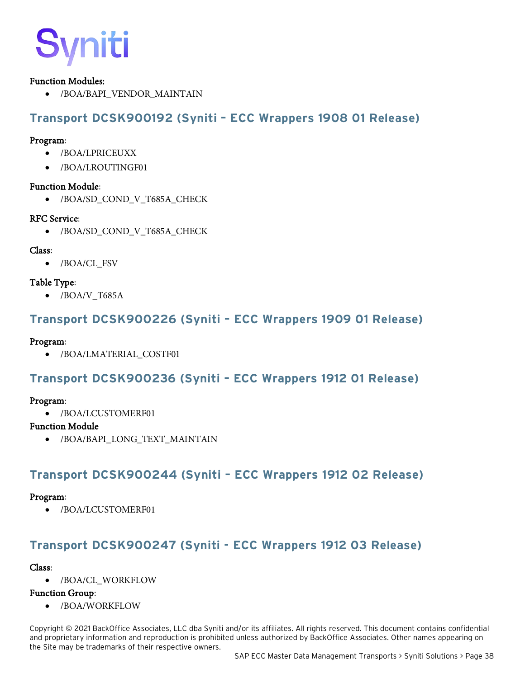

#### Function Modules:

• /BOA/BAPI\_VENDOR\_MAINTAIN

## <span id="page-41-0"></span>**Transport DCSK900192 (Syniti – ECC Wrappers 1908 01 Release)**

#### Program:

- /BOA/LPRICEUXX
- /BOA/LROUTINGF01

#### Function Module:

• /BOA/SD\_COND\_V\_T685A\_CHECK

#### RFC Service:

• /BOA/SD\_COND\_V\_T685A\_CHECK

#### Class:

• /BOA/CL\_FSV

#### Table Type:

• /BOA/V\_T685A

### <span id="page-41-1"></span>**Transport DCSK900226 (Syniti – ECC Wrappers 1909 01 Release)**

#### Program:

• /BOA/LMATERIAL\_COSTF01

### <span id="page-41-2"></span>**Transport DCSK900236 (Syniti – ECC Wrappers 1912 01 Release)**

#### Program:

• /BOA/LCUSTOMERF01

#### Function Module

• /BOA/BAPI\_LONG\_TEXT\_MAINTAIN

### <span id="page-41-3"></span>**Transport DCSK900244 (Syniti – ECC Wrappers 1912 02 Release)**

#### Program:

• /BOA/LCUSTOMERF01

# <span id="page-41-4"></span>**Transport DCSK900247 (Syniti - ECC Wrappers 1912 03 Release)**

#### Class:

• /BOA/CL\_WORKFLOW

#### Function Group:

• /BOA/WORKFLOW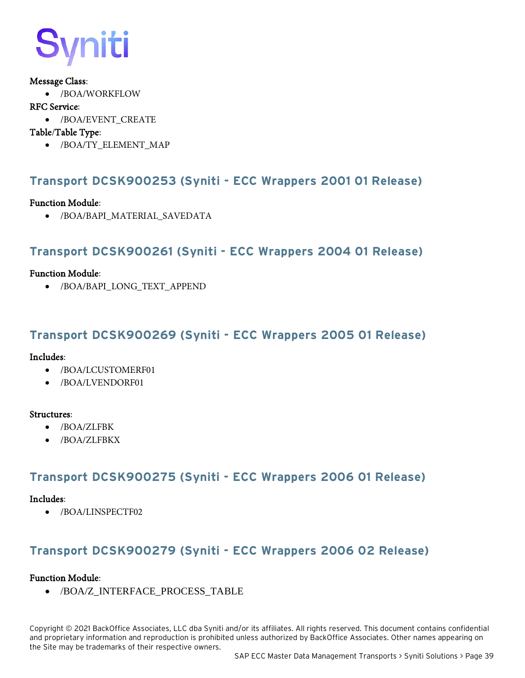# ìiti

#### Message Class:

• /BOA/WORKFLOW

#### RFC Service:

• /BOA/EVENT\_CREATE

#### Table/Table Type:

• /BOA/TY\_ELEMENT\_MAP

### <span id="page-42-0"></span>**Transport DCSK900253 (Syniti - ECC Wrappers 2001 01 Release)**

#### Function Module:

• /BOA/BAPI\_MATERIAL\_SAVEDATA

### <span id="page-42-1"></span>**Transport DCSK900261 (Syniti - ECC Wrappers 2004 01 Release)**

#### Function Module:

• /BOA/BAPI\_LONG\_TEXT\_APPEND

### <span id="page-42-2"></span>**Transport DCSK900269 (Syniti - ECC Wrappers 2005 01 Release)**

#### Includes:

- /BOA/LCUSTOMERF01
- /BOA/LVENDORF01

#### Structures:

- /BOA/ZLFBK
- /BOA/ZLFBKX

### <span id="page-42-3"></span>**Transport DCSK900275 (Syniti - ECC Wrappers 2006 01 Release)**

#### Includes:

• /BOA/LINSPECTF02

### **Transport DCSK900279 (Syniti - ECC Wrappers 2006 02 Release)**

#### Function Module:

• /BOA/Z\_INTERFACE\_PROCESS\_TABLE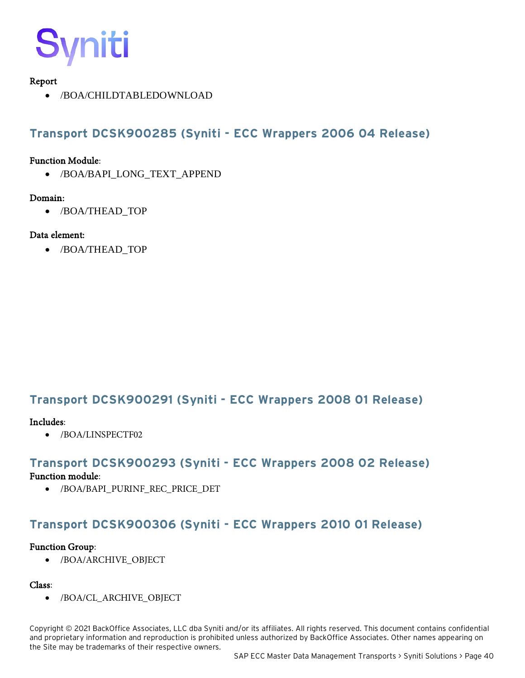

#### Report

• /BOA/CHILDTABLEDOWNLOAD

## <span id="page-43-0"></span>**Transport DCSK900285 (Syniti - ECC Wrappers 2006 04 Release)**

#### Function Module:

• /BOA/BAPI\_LONG\_TEXT\_APPEND

#### Domain:

• /BOA/THEAD\_TOP

#### Data element:

• /BOA/THEAD\_TOP

### <span id="page-43-1"></span>**Transport DCSK900291 (Syniti - ECC Wrappers 2008 01 Release)**

#### Includes:

• /BOA/LINSPECTF02

#### <span id="page-43-2"></span>**Transport DCSK900293 (Syniti - ECC Wrappers 2008 02 Release)**

#### Function module:

• /BOA/BAPI\_PURINF\_REC\_PRICE\_DET

### <span id="page-43-3"></span>**Transport DCSK900306 (Syniti - ECC Wrappers 2010 01 Release)**

#### Function Group:

• /BOA/ARCHIVE\_OBJECT

#### Class:

• /BOA/CL\_ARCHIVE\_OBJECT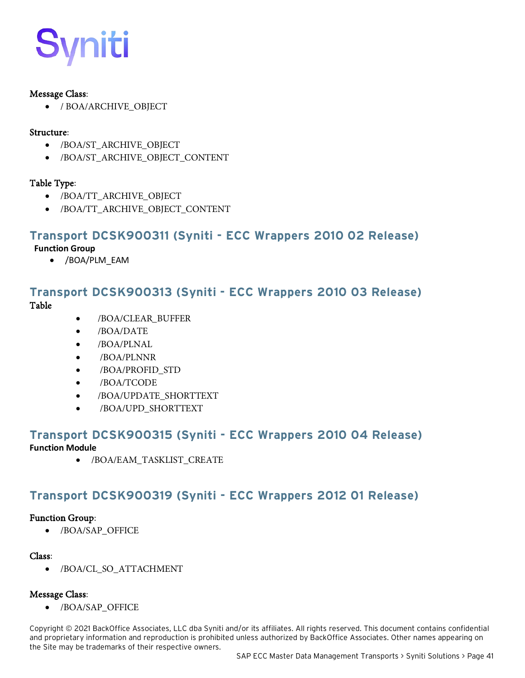

#### Message Class:

• / BOA/ARCHIVE\_OBJECT

#### Structure:

- /BOA/ST\_ARCHIVE\_OBJECT
- /BOA/ST\_ARCHIVE\_OBJECT\_CONTENT

#### Table Type:

- /BOA/TT\_ARCHIVE\_OBJECT
- /BOA/TT\_ARCHIVE\_OBJECT\_CONTENT

#### <span id="page-44-0"></span>**Transport DCSK900311 (Syniti - ECC Wrappers 2010 02 Release)**

#### **Function Group**

• /BOA/PLM\_EAM

# <span id="page-44-1"></span>**Transport DCSK900313 (Syniti - ECC Wrappers 2010 03 Release)**

Table

- /BOA/CLEAR\_BUFFER
- /BOA/DATE
- /BOA/PLNAL
- /BOA/PLNNR
- /BOA/PROFID\_STD
- /BOA/TCODE
- /BOA/UPDATE\_SHORTTEXT
- /BOA/UPD\_SHORTTEXT

### <span id="page-44-2"></span>**Transport DCSK900315 (Syniti - ECC Wrappers 2010 04 Release)**

**Function Module**

• /BOA/EAM\_TASKLIST\_CREATE

### <span id="page-44-3"></span>**Transport DCSK900319 (Syniti - ECC Wrappers 2012 01 Release)**

#### Function Group:

• /BOA/SAP\_OFFICE

#### Class:

• /BOA/CL\_SO\_ATTACHMENT

#### Message Class:

• /BOA/SAP\_OFFICE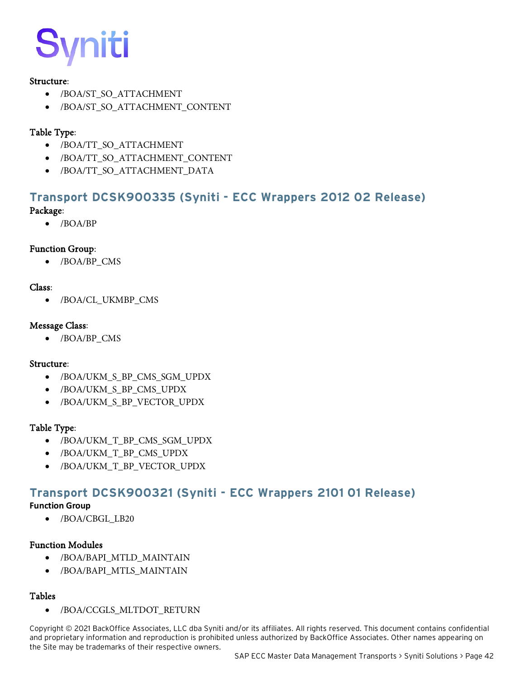#### Structure:

- /BOA/ST\_SO\_ATTACHMENT
- /BOA/ST\_SO\_ATTACHMENT\_CONTENT

#### Table Type:

- /BOA/TT\_SO\_ATTACHMENT
- /BOA/TT\_SO\_ATTACHMENT\_CONTENT
- /BOA/TT\_SO\_ATTACHMENT\_DATA

# <span id="page-45-0"></span>**Transport DCSK900335 (Syniti - ECC Wrappers 2012 02 Release)**

#### Package:

• /BOA/BP

#### Function Group:

• /BOA/BP\_CMS

#### Class:

• /BOA/CL\_UKMBP\_CMS

#### Message Class:

• /BOA/BP\_CMS

#### Structure:

- /BOA/UKM\_S\_BP\_CMS\_SGM\_UPDX
- /BOA/UKM\_S\_BP\_CMS\_UPDX
- /BOA/UKM\_S\_BP\_VECTOR\_UPDX

#### Table Type:

- /BOA/UKM\_T\_BP\_CMS\_SGM\_UPDX
- /BOA/UKM\_T\_BP\_CMS\_UPDX
- /BOA/UKM\_T\_BP\_VECTOR\_UPDX

### <span id="page-45-1"></span>**Transport DCSK900321 (Syniti - ECC Wrappers 2101 01 Release)**

#### **Function Group**

• /BOA/CBGL\_LB20

#### Function Modules

- /BOA/BAPI\_MTLD\_MAINTAIN
- /BOA/BAPI\_MTLS\_MAINTAIN

#### Tables

• /BOA/CCGLS\_MLTDOT\_RETURN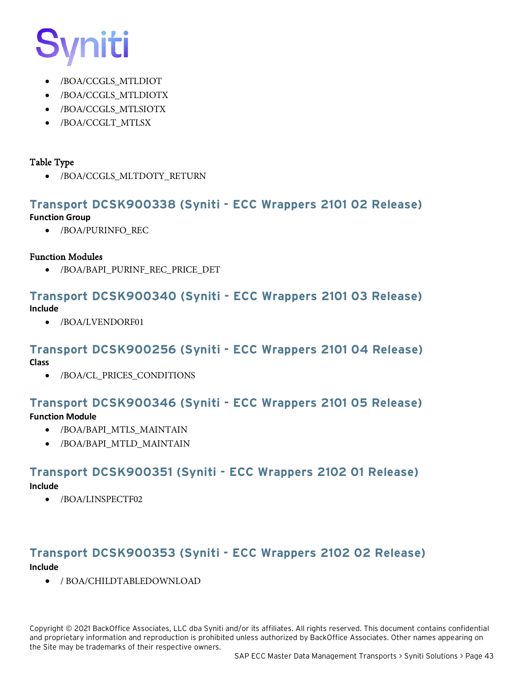# <u>niti</u>

- /BOA/CCGLS\_MTLDIOT
- /BOA/CCGLS\_MTLDIOTX
- /BOA/CCGLS\_MTLSIOTX
- /BOA/CCGLT\_MTLSX

#### Table Type

• /BOA/CCGLS\_MLTDOTY\_RETURN

### <span id="page-46-0"></span>**Transport DCSK900338 (Syniti - ECC Wrappers 2101 02 Release)**

#### **Function Group**

• /BOA/PURINFO\_REC

#### Function Modules

• /BOA/BAPI\_PURINF\_REC\_PRICE\_DET

#### <span id="page-46-1"></span>**Transport DCSK900340 (Syniti - ECC Wrappers 2101 03 Release) Include**

• /BOA/LVENDORF01

#### <span id="page-46-2"></span>**Transport DCSK900256 (Syniti - ECC Wrappers 2101 04 Release)**

**Class**

• /BOA/CL\_PRICES\_CONDITIONS

### <span id="page-46-3"></span>**Transport DCSK900346 (Syniti - ECC Wrappers 2101 05 Release)**

#### **Function Module**

- /BOA/BAPI\_MTLS\_MAINTAIN
- /BOA/BAPI\_MTLD\_MAINTAIN

### <span id="page-46-4"></span>**Transport DCSK900351 (Syniti - ECC Wrappers 2102 01 Release)**

**Include**

• /BOA/LINSPECTF02

#### <span id="page-46-5"></span>**Transport DCSK900353 (Syniti - ECC Wrappers 2102 02 Release) Include**

• / BOA/CHILDTABLEDOWNLOAD